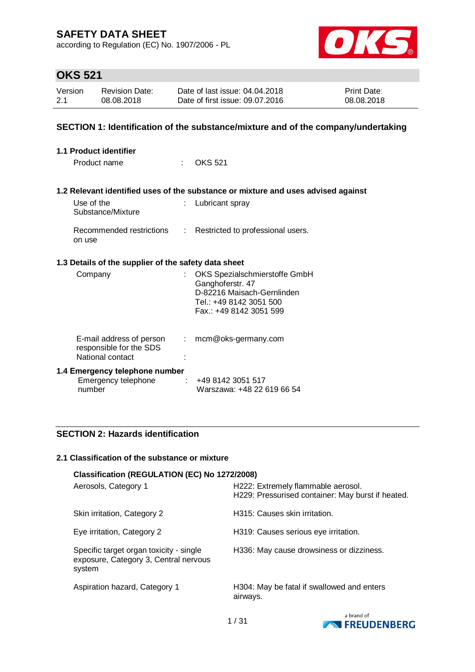according to Regulation (EC) No. 1907/2006 - PL



# **OKS 521**

| Version | <b>Revision Date:</b> | Date of last issue: 04.04.2018  | <b>Print Date:</b> |
|---------|-----------------------|---------------------------------|--------------------|
| 2.1     | 08.08.2018            | Date of first issue: 09.07.2016 | 08.08.2018         |

### **SECTION 1: Identification of the substance/mixture and of the company/undertaking**

| <b>1.1 Product identifier</b>                                                                 |      |                                                                                                                                       |
|-----------------------------------------------------------------------------------------------|------|---------------------------------------------------------------------------------------------------------------------------------------|
| Product name                                                                                  | ti i | OKS 521                                                                                                                               |
|                                                                                               |      | 1.2 Relevant identified uses of the substance or mixture and uses advised against                                                     |
|                                                                                               |      |                                                                                                                                       |
| Use of the<br>Substance/Mixture                                                               |      | Lubricant spray                                                                                                                       |
| Recommended restrictions<br>on use                                                            |      | : Restricted to professional users.                                                                                                   |
| 1.3 Details of the supplier of the safety data sheet                                          |      |                                                                                                                                       |
| Company                                                                                       |      | OKS Spezialschmierstoffe GmbH<br>Ganghoferstr. 47<br>D-82216 Maisach-Gernlinden<br>Tel.: +49 8142 3051 500<br>Fax.: +49 8142 3051 599 |
| E-mail address of person : mcm@oks-germany.com<br>responsible for the SDS<br>National contact |      |                                                                                                                                       |
| 1.4 Emergency telephone number<br>Emergency telephone<br>number                               | ÷    | +49 8142 3051 517<br>Warszawa: +48 22 619 66 54                                                                                       |

### **SECTION 2: Hazards identification**

#### **2.1 Classification of the substance or mixture**

| Classification (REGULATION (EC) No 1272/2008)                                              |                                                                                         |
|--------------------------------------------------------------------------------------------|-----------------------------------------------------------------------------------------|
| Aerosols, Category 1                                                                       | H222: Extremely flammable aerosol.<br>H229: Pressurised container: May burst if heated. |
| Skin irritation, Category 2                                                                | H315: Causes skin irritation.                                                           |
| Eye irritation, Category 2                                                                 | H319: Causes serious eye irritation.                                                    |
| Specific target organ toxicity - single<br>exposure, Category 3, Central nervous<br>system | H336: May cause drowsiness or dizziness.                                                |
| Aspiration hazard, Category 1                                                              | H304: May be fatal if swallowed and enters<br>airways.                                  |

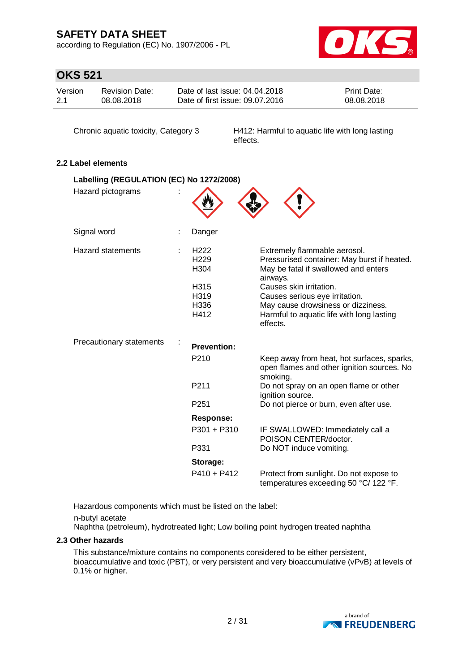according to Regulation (EC) No. 1907/2006 - PL



# **OKS 521**

| Version | Revision Date: | Date of last issue: 04.04.2018  | <b>Print Date:</b> |
|---------|----------------|---------------------------------|--------------------|
| 2.1     | 08.08.2018     | Date of first issue: 09.07.2016 | 08.08.2018         |

Chronic aquatic toxicity, Category 3 H412: Harmful to aquatic life with long lasting effects.

### **2.2 Label elements**

| Labelling (REGULATION (EC) No 1272/2008) |                                                                              |                                                                                                                                                                                                                                                                                             |
|------------------------------------------|------------------------------------------------------------------------------|---------------------------------------------------------------------------------------------------------------------------------------------------------------------------------------------------------------------------------------------------------------------------------------------|
| Hazard pictograms                        |                                                                              |                                                                                                                                                                                                                                                                                             |
| Signal word                              | Danger                                                                       |                                                                                                                                                                                                                                                                                             |
| <b>Hazard statements</b>                 | H <sub>222</sub><br>H <sub>229</sub><br>H304<br>H315<br>H319<br>H336<br>H412 | Extremely flammable aerosol.<br>Pressurised container: May burst if heated.<br>May be fatal if swallowed and enters<br>airways.<br>Causes skin irritation.<br>Causes serious eye irritation.<br>May cause drowsiness or dizziness.<br>Harmful to aquatic life with long lasting<br>effects. |
| Precautionary statements                 | <b>Prevention:</b>                                                           |                                                                                                                                                                                                                                                                                             |
|                                          | P210                                                                         | Keep away from heat, hot surfaces, sparks,<br>open flames and other ignition sources. No<br>smoking.                                                                                                                                                                                        |
|                                          | P <sub>211</sub>                                                             | Do not spray on an open flame or other<br>ignition source.                                                                                                                                                                                                                                  |
|                                          | P <sub>251</sub>                                                             | Do not pierce or burn, even after use.                                                                                                                                                                                                                                                      |
|                                          | <b>Response:</b>                                                             |                                                                                                                                                                                                                                                                                             |
|                                          |                                                                              | P301 + P310<br>IF SWALLOWED: Immediately call a<br>POISON CENTER/doctor.                                                                                                                                                                                                                    |
|                                          | P331                                                                         | Do NOT induce vomiting.                                                                                                                                                                                                                                                                     |
|                                          | Storage:                                                                     |                                                                                                                                                                                                                                                                                             |
|                                          |                                                                              | P410 + P412<br>Protect from sunlight. Do not expose to<br>temperatures exceeding 50 °C/ 122 °F.                                                                                                                                                                                             |

Hazardous components which must be listed on the label:

n-butyl acetate

Naphtha (petroleum), hydrotreated light; Low boiling point hydrogen treated naphtha

### **2.3 Other hazards**

This substance/mixture contains no components considered to be either persistent, bioaccumulative and toxic (PBT), or very persistent and very bioaccumulative (vPvB) at levels of 0.1% or higher.

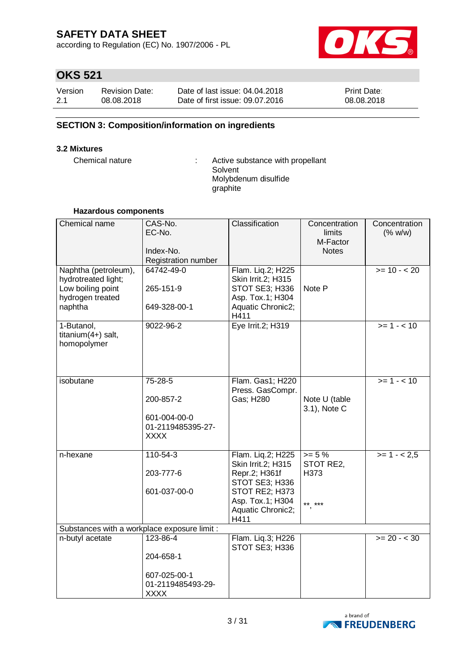according to Regulation (EC) No. 1907/2006 - PL



# **OKS 521**

| Version | <b>Revision Date:</b> | Date of last issue: 04.04.2018  | <b>Print Date:</b> |
|---------|-----------------------|---------------------------------|--------------------|
| 2.1     | 08.08.2018            | Date of first issue: 09.07.2016 | 08.08.2018         |

### **SECTION 3: Composition/information on ingredients**

#### **3.2 Mixtures**

Chemical nature : Active substance with propellant Solvent Molybdenum disulfide graphite

#### **Hazardous components**

| Chemical name                                                                                   | CAS-No.<br>EC-No.<br>Index-No.<br>Registration number                    | Classification                                                                                                                                       | Concentration<br><b>limits</b><br>M-Factor<br><b>Notes</b> | Concentration<br>(% w/w) |
|-------------------------------------------------------------------------------------------------|--------------------------------------------------------------------------|------------------------------------------------------------------------------------------------------------------------------------------------------|------------------------------------------------------------|--------------------------|
| Naphtha (petroleum),<br>hydrotreated light;<br>Low boiling point<br>hydrogen treated<br>naphtha | 64742-49-0<br>265-151-9<br>649-328-00-1                                  | Flam. Liq.2; H225<br>Skin Irrit.2; H315<br>STOT SE3; H336<br>Asp. Tox.1; H304<br>Aquatic Chronic2;<br>H411                                           | Note P                                                     | $>= 10 - 20$             |
| 1-Butanol,<br>titanium $(4+)$ salt,<br>homopolymer                                              | 9022-96-2                                                                | Eye Irrit.2; H319                                                                                                                                    |                                                            | $>= 1 - 10$              |
| isobutane                                                                                       | 75-28-5<br>200-857-2<br>601-004-00-0<br>01-2119485395-27-<br><b>XXXX</b> | Flam. Gas1; H220<br>Press. GasCompr.<br>Gas; H280                                                                                                    | Note U (table<br>3.1), Note C                              | $>= 1 - 10$              |
| n-hexane                                                                                        | $110 - 54 - 3$<br>203-777-6<br>601-037-00-0                              | Flam. Liq.2; H225<br><b>Skin Irrit.2; H315</b><br>Repr.2; H361f<br>STOT SE3; H336<br>STOT RE2; H373<br>Asp. Tox.1; H304<br>Aquatic Chronic2;<br>H411 | $>= 5%$<br>STOT RE2,<br>H373<br>** ***                     | $>= 1 - 2.5$             |
| Substances with a workplace exposure limit :<br>n-butyl acetate                                 | 123-86-4                                                                 | Flam. Liq.3; H226                                                                                                                                    |                                                            | $>= 20 - < 30$           |
|                                                                                                 | 204-658-1<br>607-025-00-1<br>01-2119485493-29-<br><b>XXXX</b>            | STOT SE3; H336                                                                                                                                       |                                                            |                          |

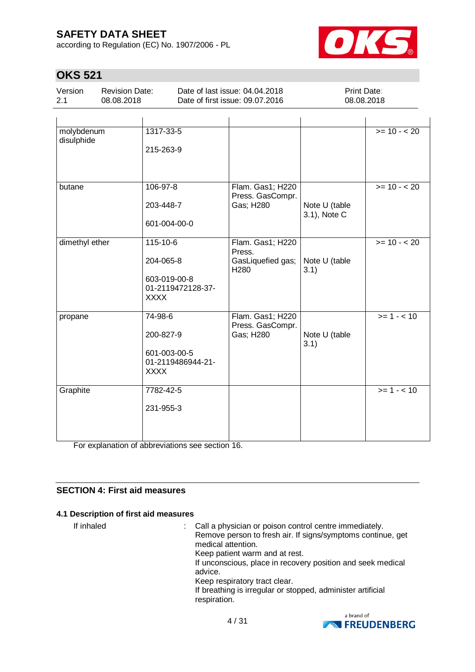according to Regulation (EC) No. 1907/2006 - PL



# **OKS 521**

| Version | Revision Date: | Date of last issue: 04.04.2018  | <b>Print Date:</b> |
|---------|----------------|---------------------------------|--------------------|
| 2.1     | 08.08.2018     | Date of first issue: 09.07.2016 | 08.08.2018         |

| molybdenum<br>disulphide | 1317-33-5                         |                                       |                               | $>= 10 - 20$ |
|--------------------------|-----------------------------------|---------------------------------------|-------------------------------|--------------|
|                          | 215-263-9                         |                                       |                               |              |
|                          |                                   |                                       |                               |              |
| butane                   | 106-97-8                          | Flam. Gas1; H220<br>Press. GasCompr.  |                               | $>= 10 - 20$ |
|                          | 203-448-7                         | Gas; H280                             | Note U (table<br>3.1), Note C |              |
|                          | 601-004-00-0                      |                                       |                               |              |
| dimethyl ether           | 115-10-6                          | Flam. Gas1; H220<br>Press.            |                               | $>= 10 - 20$ |
|                          | 204-065-8                         | GasLiquefied gas;<br>H <sub>280</sub> | Note U (table<br>3.1)         |              |
|                          | 603-019-00-8<br>01-2119472128-37- |                                       |                               |              |
|                          | <b>XXXX</b>                       |                                       |                               |              |
| propane                  | 74-98-6                           | Flam. Gas1; H220<br>Press. GasCompr.  |                               | $>= 1 - 10$  |
|                          | 200-827-9                         | Gas; H280                             | Note U (table                 |              |
|                          | 601-003-00-5                      |                                       | 3.1)                          |              |
|                          | 01-2119486944-21-<br><b>XXXX</b>  |                                       |                               |              |
| Graphite                 | 7782-42-5                         |                                       |                               | $>= 1 - 10$  |
|                          | 231-955-3                         |                                       |                               |              |
|                          |                                   |                                       |                               |              |
|                          |                                   |                                       |                               |              |

For explanation of abbreviations see section 16.

### **SECTION 4: First aid measures**

### **4.1 Description of first aid measures**

If inhaled  $\blacksquare$ : Call a physician or poison control centre immediately. Remove person to fresh air. If signs/symptoms continue, get medical attention. Keep patient warm and at rest. If unconscious, place in recovery position and seek medical advice. Keep respiratory tract clear. If breathing is irregular or stopped, administer artificial respiration.

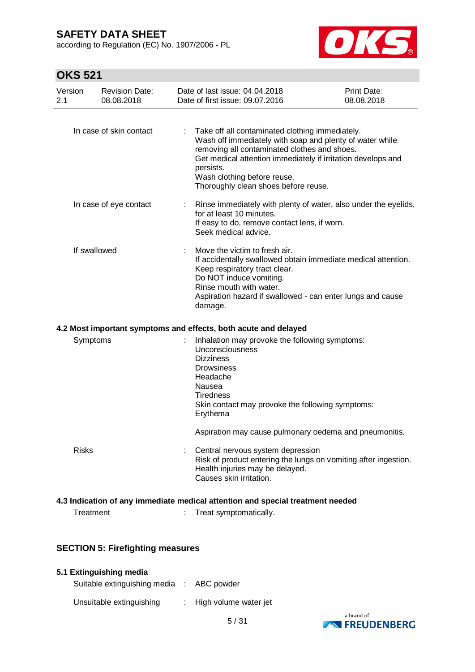according to Regulation (EC) No. 1907/2006 - PL



# **OKS 521**

| Version<br>2.1 | <b>Revision Date:</b><br>08.08.2018 | Date of last issue: 04.04.2018<br>Date of first issue: 09.07.2016                                                                                                                   | <b>Print Date:</b><br>08.08.2018                                                                                            |
|----------------|-------------------------------------|-------------------------------------------------------------------------------------------------------------------------------------------------------------------------------------|-----------------------------------------------------------------------------------------------------------------------------|
|                | In case of skin contact             | Take off all contaminated clothing immediately.<br>removing all contaminated clothes and shoes.<br>persists.<br>Wash clothing before reuse.<br>Thoroughly clean shoes before reuse. | Wash off immediately with soap and plenty of water while<br>Get medical attention immediately if irritation develops and    |
|                | In case of eye contact              | for at least 10 minutes.<br>If easy to do, remove contact lens, if worn.<br>Seek medical advice.                                                                                    | Rinse immediately with plenty of water, also under the eyelids,                                                             |
| If swallowed   |                                     | Move the victim to fresh air.<br>Keep respiratory tract clear.<br>Do NOT induce vomiting.<br>Rinse mouth with water.<br>damage.                                                     | If accidentally swallowed obtain immediate medical attention.<br>Aspiration hazard if swallowed - can enter lungs and cause |
|                |                                     | 4.2 Most important symptoms and effects, both acute and delayed                                                                                                                     |                                                                                                                             |
| Symptoms       |                                     | Inhalation may provoke the following symptoms:<br>Unconsciousness<br><b>Dizziness</b><br><b>Drowsiness</b><br>Headache<br>Nausea<br><b>Tiredness</b><br>Erythema                    | Skin contact may provoke the following symptoms:                                                                            |
|                |                                     |                                                                                                                                                                                     | Aspiration may cause pulmonary oedema and pneumonitis.                                                                      |
| <b>Risks</b>   |                                     | Central nervous system depression<br>Health injuries may be delayed.<br>Causes skin irritation.                                                                                     | Risk of product entering the lungs on vomiting after ingestion.                                                             |
|                |                                     | 4.3 Indication of any immediate medical attention and special treatment needed                                                                                                      |                                                                                                                             |
| Treatment      |                                     | Treat symptomatically.                                                                                                                                                              |                                                                                                                             |

## **SECTION 5: Firefighting measures**

### **5.1 Extinguishing media**

Suitable extinguishing media : ABC powder

Unsuitable extinguishing : High volume water jet

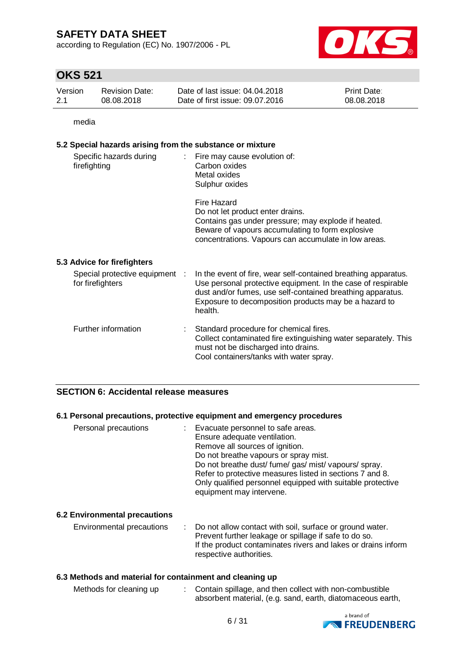according to Regulation (EC) No. 1907/2006 - PL



# **OKS 521**

| Version | Revision Date: | Date of last issue: 04.04.2018  | <b>Print Date:</b> |
|---------|----------------|---------------------------------|--------------------|
| -2.1    | 08.08.2018     | Date of first issue: 09.07.2016 | 08.08.2018         |

media

#### **5.2 Special hazards arising from the substance or mixture**

| Specific hazards during<br>firefighting            | Fire may cause evolution of:<br>$\mathcal{L}^{\mathcal{L}}$<br>Carbon oxides<br>Metal oxides<br>Sulphur oxides                                                                                                                                                   |
|----------------------------------------------------|------------------------------------------------------------------------------------------------------------------------------------------------------------------------------------------------------------------------------------------------------------------|
|                                                    | Fire Hazard<br>Do not let product enter drains.<br>Contains gas under pressure; may explode if heated.<br>Beware of vapours accumulating to form explosive<br>concentrations. Vapours can accumulate in low areas.                                               |
| 5.3 Advice for firefighters                        |                                                                                                                                                                                                                                                                  |
| Special protective equipment :<br>for firefighters | In the event of fire, wear self-contained breathing apparatus.<br>Use personal protective equipment. In the case of respirable<br>dust and/or fumes, use self-contained breathing apparatus.<br>Exposure to decomposition products may be a hazard to<br>health. |
| Further information                                | Standard procedure for chemical fires.<br>Collect contaminated fire extinguishing water separately. This<br>must not be discharged into drains.<br>Cool containers/tanks with water spray.                                                                       |

### **SECTION 6: Accidental release measures**

#### **6.1 Personal precautions, protective equipment and emergency procedures**

| Personal precautions                 | Evacuate personnel to safe areas.<br>Ensure adequate ventilation.<br>Remove all sources of ignition.<br>Do not breathe vapours or spray mist.<br>Do not breathe dust/ fume/ gas/ mist/ vapours/ spray.<br>Refer to protective measures listed in sections 7 and 8.<br>Only qualified personnel equipped with suitable protective<br>equipment may intervene. |
|--------------------------------------|--------------------------------------------------------------------------------------------------------------------------------------------------------------------------------------------------------------------------------------------------------------------------------------------------------------------------------------------------------------|
| <b>6.2 Environmental precautions</b> |                                                                                                                                                                                                                                                                                                                                                              |

#### Environmental precautions : Do not allow contact with soil, surface or ground water. Prevent further leakage or spillage if safe to do so. If the product contaminates rivers and lakes or drains inform respective authorities.

### **6.3 Methods and material for containment and cleaning up**

| Methods for cleaning up | Contain spillage, and then collect with non-combustible    |
|-------------------------|------------------------------------------------------------|
|                         | absorbent material, (e.g. sand, earth, diatomaceous earth, |

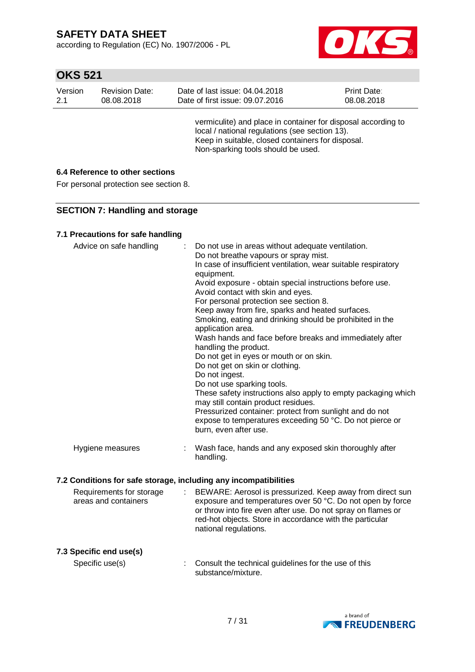according to Regulation (EC) No. 1907/2006 - PL



# **OKS 521**

| Version | <b>Revision Date:</b> | Date of last issue: 04.04.2018                                                                                                                                                                             | Print Date: |
|---------|-----------------------|------------------------------------------------------------------------------------------------------------------------------------------------------------------------------------------------------------|-------------|
| 2.1     | 08.08.2018            | Date of first issue: 09.07.2016                                                                                                                                                                            | 08.08.2018  |
|         |                       | vermiculite) and place in container for disposal according to<br>local / national regulations (see section 13).<br>Keep in suitable, closed containers for disposal.<br>Non-sparking tools should be used. |             |

### **6.4 Reference to other sections**

For personal protection see section 8.

### **SECTION 7: Handling and storage**

### **7.1 Precautions for safe handling**

| Advice on safe handling                                          |   | Do not use in areas without adequate ventilation.<br>Do not breathe vapours or spray mist.<br>In case of insufficient ventilation, wear suitable respiratory<br>equipment.<br>Avoid exposure - obtain special instructions before use.<br>Avoid contact with skin and eyes.<br>For personal protection see section 8.<br>Keep away from fire, sparks and heated surfaces.<br>Smoking, eating and drinking should be prohibited in the<br>application area.<br>Wash hands and face before breaks and immediately after<br>handling the product.<br>Do not get in eyes or mouth or on skin.<br>Do not get on skin or clothing.<br>Do not ingest.<br>Do not use sparking tools.<br>These safety instructions also apply to empty packaging which<br>may still contain product residues.<br>Pressurized container: protect from sunlight and do not<br>expose to temperatures exceeding 50 °C. Do not pierce or<br>burn, even after use. |
|------------------------------------------------------------------|---|--------------------------------------------------------------------------------------------------------------------------------------------------------------------------------------------------------------------------------------------------------------------------------------------------------------------------------------------------------------------------------------------------------------------------------------------------------------------------------------------------------------------------------------------------------------------------------------------------------------------------------------------------------------------------------------------------------------------------------------------------------------------------------------------------------------------------------------------------------------------------------------------------------------------------------------|
| Hygiene measures                                                 | ÷ | Wash face, hands and any exposed skin thoroughly after<br>handling.                                                                                                                                                                                                                                                                                                                                                                                                                                                                                                                                                                                                                                                                                                                                                                                                                                                                  |
| 7.2 Conditions for safe storage, including any incompatibilities |   |                                                                                                                                                                                                                                                                                                                                                                                                                                                                                                                                                                                                                                                                                                                                                                                                                                                                                                                                      |
| Requirements for storage<br>areas and containers                 |   | BEWARE: Aerosol is pressurized. Keep away from direct sun<br>exposure and temperatures over 50 °C. Do not open by force<br>or throw into fire even after use. Do not spray on flames or<br>red-hot objects. Store in accordance with the particular<br>national regulations.                                                                                                                                                                                                                                                                                                                                                                                                                                                                                                                                                                                                                                                         |
| 7.3 Specific end use(s)                                          |   |                                                                                                                                                                                                                                                                                                                                                                                                                                                                                                                                                                                                                                                                                                                                                                                                                                                                                                                                      |
| Specific use(s)                                                  |   | Consult the technical guidelines for the use of this<br>substance/mixture.                                                                                                                                                                                                                                                                                                                                                                                                                                                                                                                                                                                                                                                                                                                                                                                                                                                           |

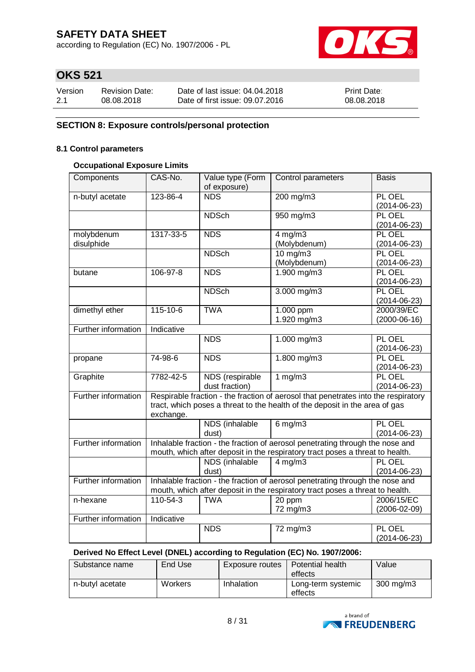according to Regulation (EC) No. 1907/2006 - PL



# **OKS 521**

| Version | <b>Revision Date:</b> | Date of last issue: 04.04.2018  | <b>Print Date:</b> |
|---------|-----------------------|---------------------------------|--------------------|
| 2.1     | 08.08.2018            | Date of first issue: 09.07.2016 | 08.08.2018         |

### **SECTION 8: Exposure controls/personal protection**

#### **8.1 Control parameters**

### **Occupational Exposure Limits**

| Components               | CAS-No.        | Value type (Form<br>of exposure)  | Control parameters                                                                                                                                                | <b>Basis</b>                     |
|--------------------------|----------------|-----------------------------------|-------------------------------------------------------------------------------------------------------------------------------------------------------------------|----------------------------------|
| n-butyl acetate          | 123-86-4       | <b>NDS</b>                        | 200 mg/m3                                                                                                                                                         | PL OEL<br>$(2014 - 06 - 23)$     |
|                          |                | <b>NDSch</b>                      | $\frac{950 \text{ m}}{950 \text{ m}}$                                                                                                                             | PL OEL<br>$(2014 - 06 - 23)$     |
| molybdenum<br>disulphide | 1317-33-5      | <b>NDS</b>                        | $4$ mg/m $3$<br>(Molybdenum)                                                                                                                                      | PL OEL<br>$(2014 - 06 - 23)$     |
|                          |                | <b>NDSch</b>                      | $10$ mg/m $3$<br>(Molybdenum)                                                                                                                                     | PL OEL<br>$(2014 - 06 - 23)$     |
| butane                   | 106-97-8       | <b>NDS</b>                        | 1.900 mg/m3                                                                                                                                                       | PL OEL<br>$(2014 - 06 - 23)$     |
|                          |                | <b>NDSch</b>                      | $3.000$ mg/m $3$                                                                                                                                                  | PL OEL<br>$(2014 - 06 - 23)$     |
| dimethyl ether           | $115 - 10 - 6$ | <b>TWA</b>                        | $1.000$ ppm<br>1.920 mg/m3                                                                                                                                        | 2000/39/EC<br>$(2000-06-16)$     |
| Further information      | Indicative     |                                   |                                                                                                                                                                   |                                  |
|                          |                | <b>NDS</b>                        | 1.000 mg/m3                                                                                                                                                       | PL OEL<br>$(2014 - 06 - 23)$     |
| propane                  | 74-98-6        | <b>NDS</b>                        | 1.800 mg/m3                                                                                                                                                       | PL OEL<br>$(2014 - 06 - 23)$     |
| Graphite                 | 7782-42-5      | NDS (respirable<br>dust fraction) | 1 $mg/m3$                                                                                                                                                         | PL OEL<br>$(2014 - 06 - 23)$     |
| Further information      | exchange.      |                                   | Respirable fraction - the fraction of aerosol that penetrates into the respiratory<br>tract, which poses a threat to the health of the deposit in the area of gas |                                  |
|                          |                | NDS (inhalable<br>dust)           | $6$ mg/m $3$                                                                                                                                                      | PL OEL<br>$(2014 - 06 - 23)$     |
| Further information      |                |                                   | Inhalable fraction - the fraction of aerosol penetrating through the nose and<br>mouth, which after deposit in the respiratory tract poses a threat to health.    |                                  |
|                          |                | NDS (inhalable<br>dust)           | $4$ mg/m $3$                                                                                                                                                      | PL OEL<br>$(2014 - 06 - 23)$     |
| Further information      |                |                                   | Inhalable fraction - the fraction of aerosol penetrating through the nose and<br>mouth, which after deposit in the respiratory tract poses a threat to health.    |                                  |
| n-hexane                 | 110-54-3       | <b>TWA</b>                        | 20 ppm<br>72 mg/m3                                                                                                                                                | 2006/15/EC<br>$(2006 - 02 - 09)$ |
| Further information      | Indicative     |                                   |                                                                                                                                                                   |                                  |
|                          |                | <b>NDS</b>                        | 72 mg/m3                                                                                                                                                          | PL OEL<br>$(2014 - 06 - 23)$     |

#### **Derived No Effect Level (DNEL) according to Regulation (EC) No. 1907/2006:**

| Substance name  | End Use | Exposure routes | Potential health<br>effects   | Value              |
|-----------------|---------|-----------------|-------------------------------|--------------------|
| n-butyl acetate | Workers | Inhalation      | Long-term systemic<br>effects | $300 \text{ mg/m}$ |

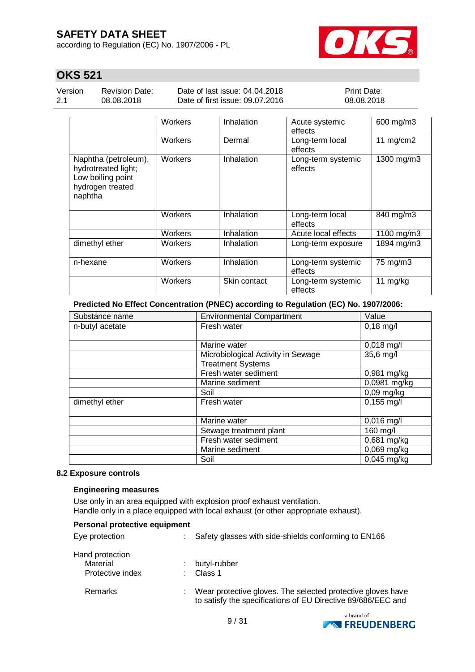according to Regulation (EC) No. 1907/2006 - PL



# **OKS 521**

Version 2.1

Revision Date: 08.08.2018

Date of last issue: 04.04.2018 Date of first issue: 09.07.2016 Print Date: 08.08.2018

|                                                                                                 | <b>Workers</b> | Inhalation   | Acute systemic<br>effects     | 600 mg/m3   |
|-------------------------------------------------------------------------------------------------|----------------|--------------|-------------------------------|-------------|
|                                                                                                 | Workers        | Dermal       | Long-term local<br>effects    | 11 $mg/cm2$ |
| Naphtha (petroleum),<br>hydrotreated light;<br>Low boiling point<br>hydrogen treated<br>naphtha | Workers        | Inhalation   | Long-term systemic<br>effects | 1300 mg/m3  |
|                                                                                                 | Workers        | Inhalation   | Long-term local<br>effects    | 840 mg/m3   |
|                                                                                                 | Workers        | Inhalation   | Acute local effects           | 1100 mg/m3  |
| dimethyl ether                                                                                  | Workers        | Inhalation   | Long-term exposure            | 1894 mg/m3  |
| n-hexane                                                                                        | Workers        | Inhalation   | Long-term systemic<br>effects | 75 mg/m3    |
|                                                                                                 | Workers        | Skin contact | Long-term systemic<br>effects | 11 $mg/kg$  |

**Predicted No Effect Concentration (PNEC) according to Regulation (EC) No. 1907/2006:**

| Substance name  | Value<br><b>Environmental Compartment</b> |                           |
|-----------------|-------------------------------------------|---------------------------|
| n-butyl acetate | Fresh water                               | $0,18$ mg/l               |
|                 |                                           |                           |
|                 | Marine water                              | $0,018$ mg/l              |
|                 | Microbiological Activity in Sewage        | 35,6 mg/l                 |
|                 | <b>Treatment Systems</b>                  |                           |
|                 | Fresh water sediment                      | 0,981 mg/kg               |
|                 | Marine sediment                           | $\overline{0,0981}$ mg/kg |
|                 | Soil                                      | $0,09$ mg/kg              |
| dimethyl ether  | Fresh water                               | $0,155$ mg/l              |
|                 |                                           |                           |
|                 | Marine water                              | $0,016$ mg/l              |
|                 | Sewage treatment plant                    | 160 mg/l                  |
|                 | Fresh water sediment                      | 0,681 mg/kg               |
|                 | Marine sediment                           | 0,069 mg/kg               |
|                 | Soil                                      | $0,045$ mg/kg             |

#### **8.2 Exposure controls**

#### **Engineering measures**

Use only in an area equipped with explosion proof exhaust ventilation. Handle only in a place equipped with local exhaust (or other appropriate exhaust).

| Personal protective equipment                   |    |                                                                                                                             |
|-------------------------------------------------|----|-----------------------------------------------------------------------------------------------------------------------------|
| Eye protection                                  | t. | Safety glasses with side-shields conforming to EN166                                                                        |
| Hand protection<br>Material<br>Protective index |    | butyl-rubber<br>Class 1                                                                                                     |
| Remarks                                         |    | Wear protective gloves. The selected protective gloves have<br>to satisfy the specifications of EU Directive 89/686/EEC and |

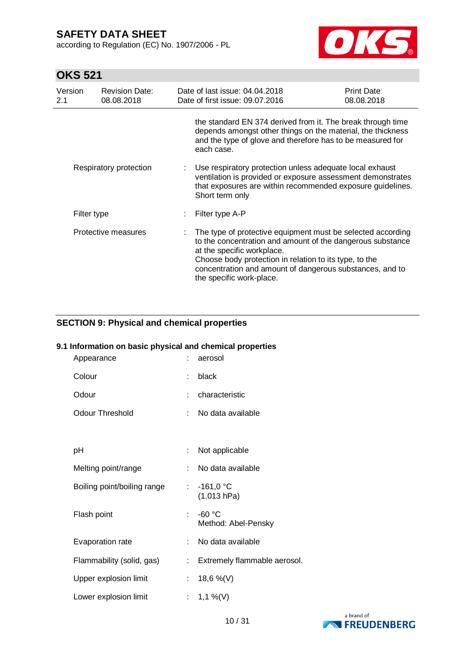according to Regulation (EC) No. 1907/2006 - PL



# **OKS 521**

| Version<br>2.1 | <b>Revision Date:</b><br>08.08.2018 | Date of last issue: 04.04.2018<br>Date of first issue: 09.07.2016                                                                                                                                                                                                                                         | Print Date:<br>08.08.2018 |
|----------------|-------------------------------------|-----------------------------------------------------------------------------------------------------------------------------------------------------------------------------------------------------------------------------------------------------------------------------------------------------------|---------------------------|
|                |                                     | the standard EN 374 derived from it. The break through time<br>depends amongst other things on the material, the thickness<br>and the type of glove and therefore has to be measured for<br>each case.                                                                                                    |                           |
|                | Respiratory protection              | Use respiratory protection unless adequate local exhaust<br>ventilation is provided or exposure assessment demonstrates<br>that exposures are within recommended exposure guidelines.<br>Short term only                                                                                                  |                           |
|                | Filter type                         | Filter type A-P                                                                                                                                                                                                                                                                                           |                           |
|                | Protective measures                 | The type of protective equipment must be selected according<br>to the concentration and amount of the dangerous substance<br>at the specific workplace.<br>Choose body protection in relation to its type, to the<br>concentration and amount of dangerous substances, and to<br>the specific work-place. |                           |

### **SECTION 9: Physical and chemical properties**

# **9.1 Information on basic physical and chemical properties**

| Appearance                  |                           | aerosol                         |
|-----------------------------|---------------------------|---------------------------------|
| Colour                      | ÷                         | black                           |
| Odour                       | ÷                         | characteristic                  |
| <b>Odour Threshold</b>      | ÷                         | No data available               |
|                             |                           |                                 |
| рH                          | ÷                         | Not applicable                  |
| Melting point/range         | ÷                         | No data available               |
| Boiling point/boiling range | $\mathbb{R}^{\mathbb{Z}}$ | $-161,0 °C$<br>(1.013 hPa)      |
| Flash point                 | ÷.                        | $-60 °C$<br>Method: Abel-Pensky |
| Evaporation rate            | ÷                         | No data available               |
| Flammability (solid, gas)   | ÷                         | Extremely flammable aerosol.    |
| Upper explosion limit       | ÷                         | 18,6 %(V)                       |
| Lower explosion limit       |                           | 1,1 %(V)                        |

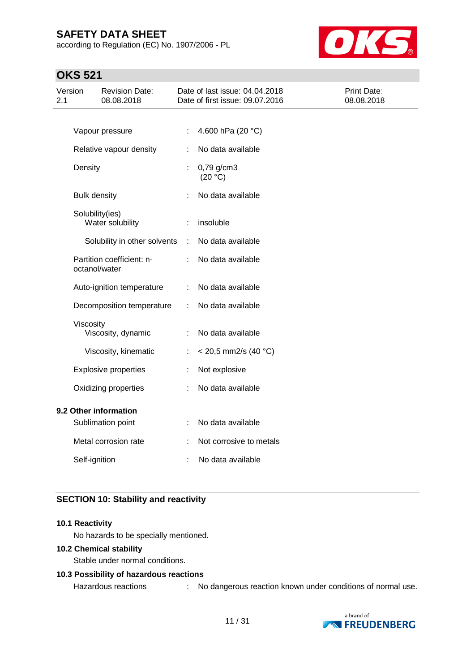according to Regulation (EC) No. 1907/2006 - PL



# **OKS 521**

| Version<br>2.1        |                     | <b>Revision Date:</b><br>08.08.2018 |       | Date of last issue: 04.04.2018<br>Date of first issue: 09.07.2016 | Print Date:<br>08.08.2018 |
|-----------------------|---------------------|-------------------------------------|-------|-------------------------------------------------------------------|---------------------------|
|                       |                     |                                     |       |                                                                   |                           |
|                       |                     | Vapour pressure                     | ÷     | 4.600 hPa (20 °C)                                                 |                           |
|                       |                     | Relative vapour density             |       | No data available                                                 |                           |
|                       | Density             |                                     | ÷     | $0,79$ g/cm3<br>(20 °C)                                           |                           |
|                       | <b>Bulk density</b> |                                     |       | No data available                                                 |                           |
|                       | Solubility(ies)     | Water solubility                    | ÷     | insoluble                                                         |                           |
|                       |                     | Solubility in other solvents        | $\pm$ | No data available                                                 |                           |
|                       | octanol/water       | Partition coefficient: n-           |       | No data available                                                 |                           |
|                       |                     | Auto-ignition temperature           | ÷     | No data available                                                 |                           |
|                       |                     | Decomposition temperature           | ÷     | No data available                                                 |                           |
|                       | Viscosity           | Viscosity, dynamic                  |       | No data available                                                 |                           |
|                       |                     | Viscosity, kinematic                | ÷     | $<$ 20,5 mm2/s (40 °C)                                            |                           |
|                       |                     | <b>Explosive properties</b>         | ÷     | Not explosive                                                     |                           |
|                       |                     | Oxidizing properties                | ÷     | No data available                                                 |                           |
| 9.2 Other information |                     |                                     |       |                                                                   |                           |
|                       |                     | Sublimation point                   |       | No data available                                                 |                           |
|                       |                     | Metal corrosion rate                |       | Not corrosive to metals                                           |                           |
|                       | Self-ignition       |                                     | ÷     | No data available                                                 |                           |

### **SECTION 10: Stability and reactivity**

#### **10.1 Reactivity**

No hazards to be specially mentioned.

#### **10.2 Chemical stability**

Stable under normal conditions.

### **10.3 Possibility of hazardous reactions**

Hazardous reactions : No dangerous reaction known under conditions of normal use.

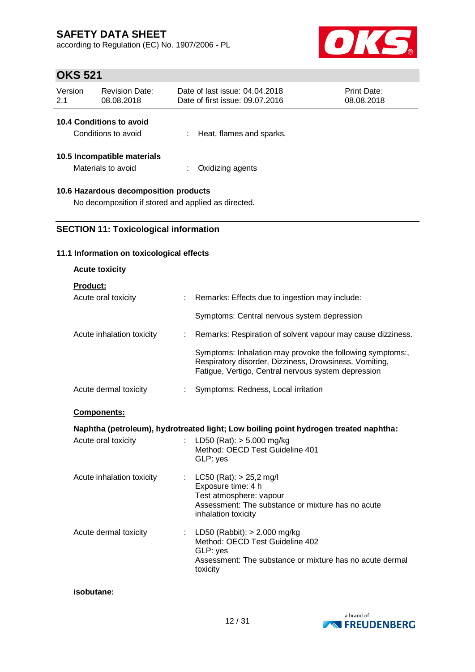according to Regulation (EC) No. 1907/2006 - PL



# **OKS 521**

| Version<br>2.1                                                                               | <b>Revision Date:</b><br>08.08.2018               |  | Date of last issue: 04.04.2018<br>Date of first issue: 09.07.2016 | Print Date:<br>08.08.2018 |  |  |
|----------------------------------------------------------------------------------------------|---------------------------------------------------|--|-------------------------------------------------------------------|---------------------------|--|--|
|                                                                                              | 10.4 Conditions to avoid<br>Conditions to avoid   |  | Heat, flames and sparks.                                          |                           |  |  |
|                                                                                              | 10.5 Incompatible materials<br>Materials to avoid |  | Oxidizing agents                                                  |                           |  |  |
| 10.6 Hazardous decomposition products<br>No decomposition if stored and applied as directed. |                                                   |  |                                                                   |                           |  |  |

## **SECTION 11: Toxicological information**

#### **11.1 Information on toxicological effects**

| <b>Acute toxicity</b>           |                                                                                                                                                                            |
|---------------------------------|----------------------------------------------------------------------------------------------------------------------------------------------------------------------------|
| <b>Product:</b>                 |                                                                                                                                                                            |
| Acute oral toxicity             | : Remarks: Effects due to ingestion may include:                                                                                                                           |
|                                 | Symptoms: Central nervous system depression                                                                                                                                |
| Acute inhalation toxicity<br>÷. | Remarks: Respiration of solvent vapour may cause dizziness.                                                                                                                |
|                                 | Symptoms: Inhalation may provoke the following symptoms:,<br>Respiratory disorder, Dizziness, Drowsiness, Vomiting,<br>Fatigue, Vertigo, Central nervous system depression |
| Acute dermal toxicity           | Symptoms: Redness, Local irritation                                                                                                                                        |
| <b>Components:</b>              |                                                                                                                                                                            |
|                                 | Naphtha (petroleum), hydrotreated light; Low boiling point hydrogen treated naphtha:                                                                                       |
| Acute oral toxicity             | LD50 (Rat): $> 5.000$ mg/kg<br>Method: OECD Test Guideline 401<br>GLP: yes                                                                                                 |
| Acute inhalation toxicity       | : $LC50 (Rat): > 25,2$ mg/l<br>Exposure time: 4 h<br>Test atmosphere: vapour<br>Assessment: The substance or mixture has no acute<br>inhalation toxicity                   |
| Acute dermal toxicity           | : LD50 (Rabbit): $> 2.000$ mg/kg<br>Method: OECD Test Guideline 402<br>GLP: yes<br>Assessment: The substance or mixture has no acute dermal<br>toxicity                    |

#### **isobutane:**

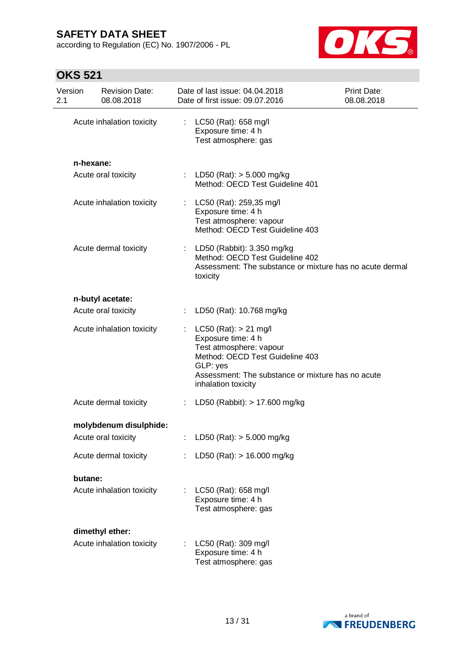according to Regulation (EC) No. 1907/2006 - PL



| Version<br>2.1 | <b>Revision Date:</b><br>08.08.2018 |    | Date of last issue: 04.04.2018<br>Date of first issue: 09.07.2016                                                                                                                                     | Print Date:<br>08.08.2018 |
|----------------|-------------------------------------|----|-------------------------------------------------------------------------------------------------------------------------------------------------------------------------------------------------------|---------------------------|
|                | Acute inhalation toxicity           | t. | LC50 (Rat): 658 mg/l<br>Exposure time: 4 h<br>Test atmosphere: gas                                                                                                                                    |                           |
|                | n-hexane:                           |    |                                                                                                                                                                                                       |                           |
|                | Acute oral toxicity                 |    | : LD50 (Rat): $>$ 5.000 mg/kg<br>Method: OECD Test Guideline 401                                                                                                                                      |                           |
|                | Acute inhalation toxicity           |    | : LC50 (Rat): 259,35 mg/l<br>Exposure time: 4 h<br>Test atmosphere: vapour<br>Method: OECD Test Guideline 403                                                                                         |                           |
|                | Acute dermal toxicity               |    | : LD50 (Rabbit): 3.350 mg/kg<br>Method: OECD Test Guideline 402<br>Assessment: The substance or mixture has no acute dermal<br>toxicity                                                               |                           |
|                | n-butyl acetate:                    |    |                                                                                                                                                                                                       |                           |
|                | Acute oral toxicity                 |    | : LD50 (Rat): 10.768 mg/kg                                                                                                                                                                            |                           |
|                | Acute inhalation toxicity           |    | : LC50 (Rat): $> 21$ mg/l<br>Exposure time: 4 h<br>Test atmosphere: vapour<br>Method: OECD Test Guideline 403<br>GLP: yes<br>Assessment: The substance or mixture has no acute<br>inhalation toxicity |                           |
|                | Acute dermal toxicity               |    | : LD50 (Rabbit): $> 17.600$ mg/kg                                                                                                                                                                     |                           |
|                | molybdenum disulphide:              |    |                                                                                                                                                                                                       |                           |
|                | Acute oral toxicity                 |    | LD50 (Rat): $> 5.000$ mg/kg                                                                                                                                                                           |                           |
|                | Acute dermal toxicity               |    | LD50 (Rat): $> 16.000$ mg/kg                                                                                                                                                                          |                           |
|                | butane:                             |    |                                                                                                                                                                                                       |                           |
|                | Acute inhalation toxicity           |    | LC50 (Rat): 658 mg/l<br>Exposure time: 4 h<br>Test atmosphere: gas                                                                                                                                    |                           |
|                | dimethyl ether:                     |    |                                                                                                                                                                                                       |                           |
|                | Acute inhalation toxicity           |    | LC50 (Rat): 309 mg/l<br>Exposure time: 4 h<br>Test atmosphere: gas                                                                                                                                    |                           |

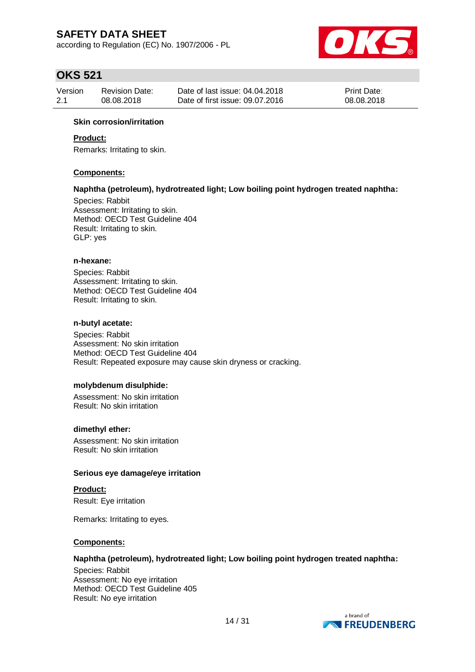according to Regulation (EC) No. 1907/2006 - PL



# **OKS 521**

| Version | <b>Revision Date:</b> | Date of last issue: 04.04.2018  | <b>Print Date:</b> |
|---------|-----------------------|---------------------------------|--------------------|
| 2.1     | 08.08.2018            | Date of first issue: 09.07.2016 | 08.08.2018         |

#### **Skin corrosion/irritation**

#### **Product:**

Remarks: Irritating to skin.

#### **Components:**

#### **Naphtha (petroleum), hydrotreated light; Low boiling point hydrogen treated naphtha:**

Species: Rabbit Assessment: Irritating to skin. Method: OECD Test Guideline 404 Result: Irritating to skin. GLP: yes

#### **n-hexane:**

Species: Rabbit Assessment: Irritating to skin. Method: OECD Test Guideline 404 Result: Irritating to skin.

#### **n-butyl acetate:**

Species: Rabbit Assessment: No skin irritation Method: OECD Test Guideline 404 Result: Repeated exposure may cause skin dryness or cracking.

#### **molybdenum disulphide:**

Assessment: No skin irritation Result: No skin irritation

#### **dimethyl ether:**

Assessment: No skin irritation Result: No skin irritation

#### **Serious eye damage/eye irritation**

**Product:**

Result: Eye irritation

Remarks: Irritating to eyes.

#### **Components:**

#### **Naphtha (petroleum), hydrotreated light; Low boiling point hydrogen treated naphtha:**

Species: Rabbit Assessment: No eye irritation Method: OECD Test Guideline 405 Result: No eye irritation

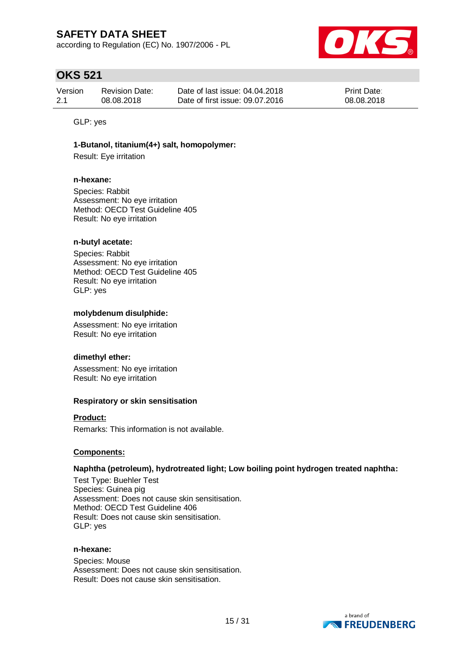according to Regulation (EC) No. 1907/2006 - PL



# **OKS 521**

| Version | <b>Revision Date:</b> | Date of last issue: 04.04.2018  | <b>Print Date:</b> |
|---------|-----------------------|---------------------------------|--------------------|
| 2.1     | 08.08.2018            | Date of first issue: 09.07.2016 | 08.08.2018         |

GLP: yes

#### **1-Butanol, titanium(4+) salt, homopolymer:**

Result: Eye irritation

#### **n-hexane:**

Species: Rabbit Assessment: No eye irritation Method: OECD Test Guideline 405 Result: No eye irritation

#### **n-butyl acetate:**

Species: Rabbit Assessment: No eye irritation Method: OECD Test Guideline 405 Result: No eye irritation GLP: yes

#### **molybdenum disulphide:**

Assessment: No eye irritation Result: No eye irritation

#### **dimethyl ether:**

Assessment: No eye irritation Result: No eye irritation

#### **Respiratory or skin sensitisation**

#### **Product:**

Remarks: This information is not available.

#### **Components:**

#### **Naphtha (petroleum), hydrotreated light; Low boiling point hydrogen treated naphtha:**

Test Type: Buehler Test Species: Guinea pig Assessment: Does not cause skin sensitisation. Method: OECD Test Guideline 406 Result: Does not cause skin sensitisation. GLP: yes

#### **n-hexane:**

Species: Mouse Assessment: Does not cause skin sensitisation. Result: Does not cause skin sensitisation.

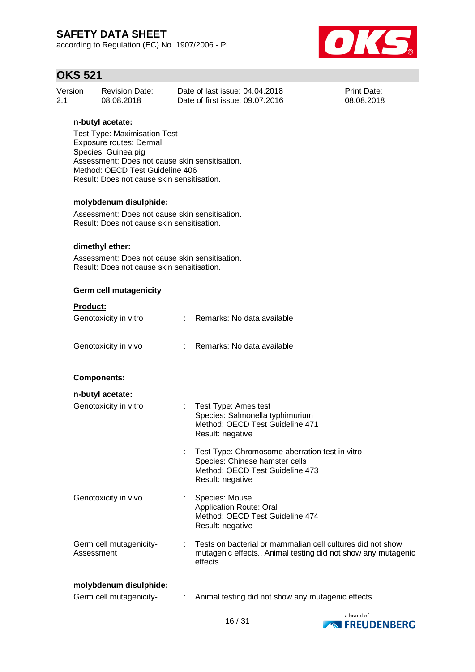according to Regulation (EC) No. 1907/2006 - PL



## **OKS 521**

| Version | <b>Revision Date:</b> | Date of last issue: 04.04.2018  | <b>Print Date:</b> |
|---------|-----------------------|---------------------------------|--------------------|
| 2.1     | 08.08.2018            | Date of first issue: 09.07.2016 | 08.08.2018         |

#### **n-butyl acetate:**

Test Type: Maximisation Test Exposure routes: Dermal Species: Guinea pig Assessment: Does not cause skin sensitisation. Method: OECD Test Guideline 406 Result: Does not cause skin sensitisation.

#### **molybdenum disulphide:**

Assessment: Does not cause skin sensitisation. Result: Does not cause skin sensitisation.

#### **dimethyl ether:**

Assessment: Does not cause skin sensitisation. Result: Does not cause skin sensitisation.

#### **Germ cell mutagenicity**

| <b>Product:</b>                       |                |                                                                                                                                         |
|---------------------------------------|----------------|-----------------------------------------------------------------------------------------------------------------------------------------|
| Genotoxicity in vitro                 |                | : Remarks: No data available                                                                                                            |
| Genotoxicity in vivo                  | $\mathbb{R}^n$ | Remarks: No data available                                                                                                              |
| <b>Components:</b>                    |                |                                                                                                                                         |
| n-butyl acetate:                      |                |                                                                                                                                         |
| Genotoxicity in vitro                 |                | : Test Type: Ames test<br>Species: Salmonella typhimurium<br>Method: OECD Test Guideline 471<br>Result: negative                        |
|                                       |                | Test Type: Chromosome aberration test in vitro<br>Species: Chinese hamster cells<br>Method: OECD Test Guideline 473<br>Result: negative |
| Genotoxicity in vivo                  |                | <b>Species: Mouse</b><br><b>Application Route: Oral</b><br>Method: OECD Test Guideline 474<br>Result: negative                          |
| Germ cell mutagenicity-<br>Assessment |                | Tests on bacterial or mammalian cell cultures did not show<br>mutagenic effects., Animal testing did not show any mutagenic<br>effects. |
| molybdenum disulphide:                |                |                                                                                                                                         |

Germ cell mutagenicity- : Animal testing did not show any mutagenic effects.

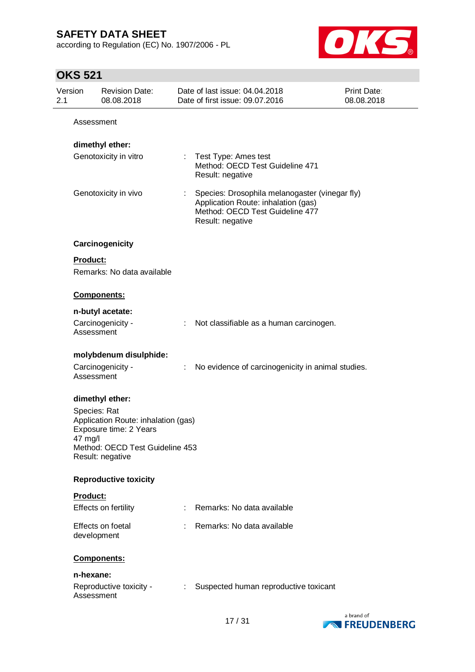according to Regulation (EC) No. 1907/2006 - PL



| Version<br>2.1 |                         | <b>Revision Date:</b><br>08.08.2018                                                                                  |                           | Date of last issue: 04.04.2018<br>Date of first issue: 09.07.2016                                                                            | <b>Print Date:</b><br>08.08.2018 |
|----------------|-------------------------|----------------------------------------------------------------------------------------------------------------------|---------------------------|----------------------------------------------------------------------------------------------------------------------------------------------|----------------------------------|
|                | Assessment              |                                                                                                                      |                           |                                                                                                                                              |                                  |
|                |                         | dimethyl ether:                                                                                                      |                           |                                                                                                                                              |                                  |
|                |                         | Genotoxicity in vitro                                                                                                |                           | : Test Type: Ames test<br>Method: OECD Test Guideline 471<br>Result: negative                                                                |                                  |
|                |                         | Genotoxicity in vivo                                                                                                 | $\mathbb{Z}^{\mathbb{Z}}$ | Species: Drosophila melanogaster (vinegar fly)<br>Application Route: inhalation (gas)<br>Method: OECD Test Guideline 477<br>Result: negative |                                  |
|                |                         | Carcinogenicity                                                                                                      |                           |                                                                                                                                              |                                  |
|                | Product:                |                                                                                                                      |                           |                                                                                                                                              |                                  |
|                |                         | Remarks: No data available                                                                                           |                           |                                                                                                                                              |                                  |
|                |                         | Components:                                                                                                          |                           |                                                                                                                                              |                                  |
|                |                         | n-butyl acetate:                                                                                                     |                           |                                                                                                                                              |                                  |
|                | Assessment              | Carcinogenicity -                                                                                                    |                           | : Not classifiable as a human carcinogen.                                                                                                    |                                  |
|                |                         | molybdenum disulphide:                                                                                               |                           |                                                                                                                                              |                                  |
|                | Assessment              | Carcinogenicity -                                                                                                    | ÷                         | No evidence of carcinogenicity in animal studies.                                                                                            |                                  |
|                |                         | dimethyl ether:                                                                                                      |                           |                                                                                                                                              |                                  |
|                | Species: Rat<br>47 mg/l | Application Route: inhalation (gas)<br>Exposure time: 2 Years<br>Method: OECD Test Guideline 453<br>Result: negative |                           |                                                                                                                                              |                                  |
|                |                         | <b>Reproductive toxicity</b>                                                                                         |                           |                                                                                                                                              |                                  |
|                | Product:                |                                                                                                                      |                           |                                                                                                                                              |                                  |
|                |                         | Effects on fertility                                                                                                 |                           | Remarks: No data available                                                                                                                   |                                  |
|                | development             | Effects on foetal                                                                                                    |                           | Remarks: No data available                                                                                                                   |                                  |
|                |                         | Components:                                                                                                          |                           |                                                                                                                                              |                                  |
|                | n-hexane:               |                                                                                                                      |                           |                                                                                                                                              |                                  |
|                | Assessment              | Reproductive toxicity -                                                                                              | ÷                         | Suspected human reproductive toxicant                                                                                                        |                                  |

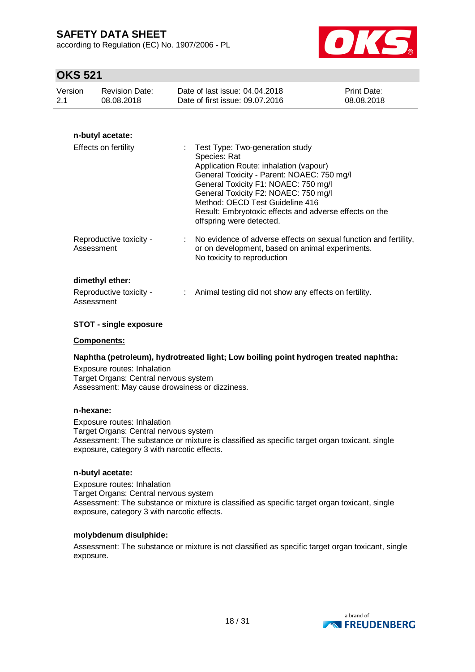according to Regulation (EC) No. 1907/2006 - PL



## **OKS 521**

| Version | <b>Revision Date:</b> | Date of last issue: 04.04.2018  | <b>Print Date:</b> |
|---------|-----------------------|---------------------------------|--------------------|
| 2.1     | 08.08.2018            | Date of first issue: 09.07.2016 | 08.08.2018         |
|         |                       |                                 |                    |

### **n-butyl acetate:**

| Effects on fertility                                     | : Test Type: Two-generation study<br>Species: Rat<br>Application Route: inhalation (vapour)<br>General Toxicity - Parent: NOAEC: 750 mg/l<br>General Toxicity F1: NOAEC: 750 mg/l<br>General Toxicity F2: NOAEC: 750 mg/l<br>Method: OECD Test Guideline 416<br>Result: Embryotoxic effects and adverse effects on the<br>offspring were detected. |
|----------------------------------------------------------|----------------------------------------------------------------------------------------------------------------------------------------------------------------------------------------------------------------------------------------------------------------------------------------------------------------------------------------------------|
| Reproductive toxicity -<br>Assessment                    | : No evidence of adverse effects on sexual function and fertility,<br>or on development, based on animal experiments.<br>No toxicity to reproduction                                                                                                                                                                                               |
| dimethyl ether:<br>Reproductive toxicity -<br>Assessment | Animal testing did not show any effects on fertility.                                                                                                                                                                                                                                                                                              |

#### **STOT - single exposure**

#### **Components:**

#### **Naphtha (petroleum), hydrotreated light; Low boiling point hydrogen treated naphtha:**

Exposure routes: Inhalation Target Organs: Central nervous system Assessment: May cause drowsiness or dizziness.

#### **n-hexane:**

Exposure routes: Inhalation Target Organs: Central nervous system Assessment: The substance or mixture is classified as specific target organ toxicant, single exposure, category 3 with narcotic effects.

#### **n-butyl acetate:**

Exposure routes: Inhalation Target Organs: Central nervous system Assessment: The substance or mixture is classified as specific target organ toxicant, single exposure, category 3 with narcotic effects.

#### **molybdenum disulphide:**

Assessment: The substance or mixture is not classified as specific target organ toxicant, single exposure.

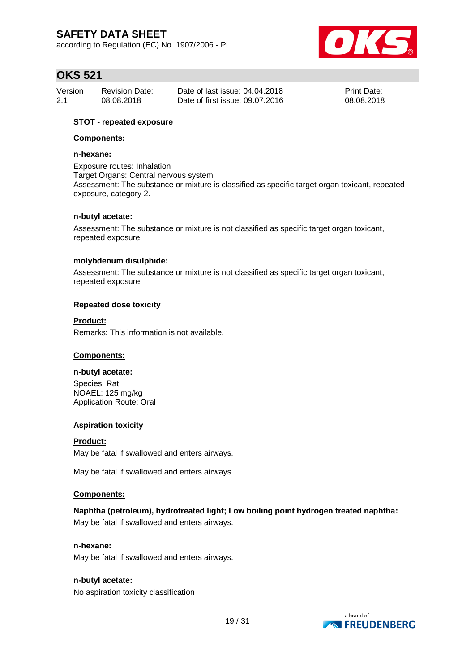according to Regulation (EC) No. 1907/2006 - PL



# **OKS 521**

| Version | <b>Revision Date:</b> | Date of last issue: 04.04.2018  | <b>Print Date:</b> |
|---------|-----------------------|---------------------------------|--------------------|
| 2.1     | 08.08.2018            | Date of first issue: 09.07.2016 | 08.08.2018         |

#### **STOT - repeated exposure**

#### **Components:**

#### **n-hexane:**

Exposure routes: Inhalation Target Organs: Central nervous system Assessment: The substance or mixture is classified as specific target organ toxicant, repeated exposure, category 2.

#### **n-butyl acetate:**

Assessment: The substance or mixture is not classified as specific target organ toxicant, repeated exposure.

#### **molybdenum disulphide:**

Assessment: The substance or mixture is not classified as specific target organ toxicant, repeated exposure.

#### **Repeated dose toxicity**

#### **Product:**

Remarks: This information is not available.

#### **Components:**

#### **n-butyl acetate:**

Species: Rat NOAEL: 125 mg/kg Application Route: Oral

#### **Aspiration toxicity**

### **Product:** May be fatal if swallowed and enters airways.

May be fatal if swallowed and enters airways.

#### **Components:**

### **Naphtha (petroleum), hydrotreated light; Low boiling point hydrogen treated naphtha:**

May be fatal if swallowed and enters airways.

### **n-hexane:**

May be fatal if swallowed and enters airways.

#### **n-butyl acetate:**

No aspiration toxicity classification

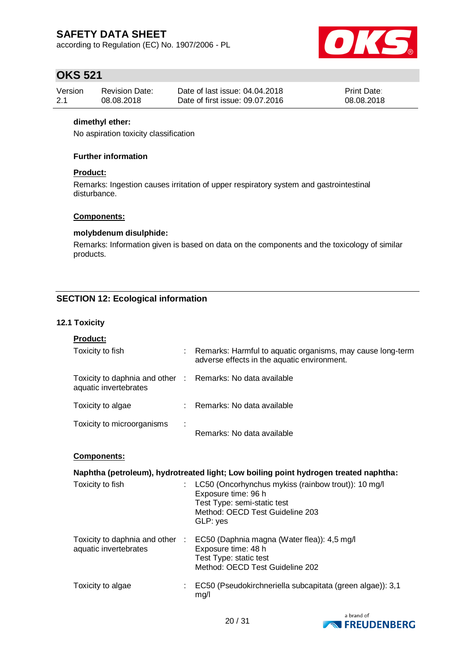according to Regulation (EC) No. 1907/2006 - PL



# **OKS 521**

| Version | Revision Date: | Date of last issue: 04.04.2018  | <b>Print Date:</b> |
|---------|----------------|---------------------------------|--------------------|
| 2.1     | 08.08.2018     | Date of first issue: 09.07.2016 | 08.08.2018         |

#### **dimethyl ether:**

No aspiration toxicity classification

#### **Further information**

#### **Product:**

Remarks: Ingestion causes irritation of upper respiratory system and gastrointestinal disturbance.

#### **Components:**

#### **molybdenum disulphide:**

Remarks: Information given is based on data on the components and the toxicology of similar products.

### **SECTION 12: Ecological information**

#### **12.1 Toxicity**

| <b>Product:</b>                                                                     |                                                                                                                                                                 |
|-------------------------------------------------------------------------------------|-----------------------------------------------------------------------------------------------------------------------------------------------------------------|
| Toxicity to fish                                                                    | : Remarks: Harmful to aquatic organisms, may cause long-term<br>adverse effects in the aquatic environment.                                                     |
| Toxicity to daphnia and other : Remarks: No data available<br>aquatic invertebrates |                                                                                                                                                                 |
| Toxicity to algae                                                                   | : Remarks: No data available                                                                                                                                    |
| Toxicity to microorganisms                                                          | Remarks: No data available                                                                                                                                      |
| <b>Components:</b>                                                                  |                                                                                                                                                                 |
|                                                                                     | Naphtha (petroleum), hydrotreated light; Low boiling point hydrogen treated naphtha:                                                                            |
| Toxicity to fish                                                                    | LC50 (Oncorhynchus mykiss (rainbow trout)): 10 mg/l<br>Exposure time: 96 h<br>Test Type: semi-static test<br>Method: OECD Test Guideline 203<br>GLP: yes        |
| aquatic invertebrates                                                               | Toxicity to daphnia and other : EC50 (Daphnia magna (Water flea)): 4,5 mg/l<br>Exposure time: 48 h<br>Test Type: static test<br>Method: OECD Test Guideline 202 |
| Toxicity to algae                                                                   | EC50 (Pseudokirchneriella subcapitata (green algae)): 3,1<br>mg/l                                                                                               |

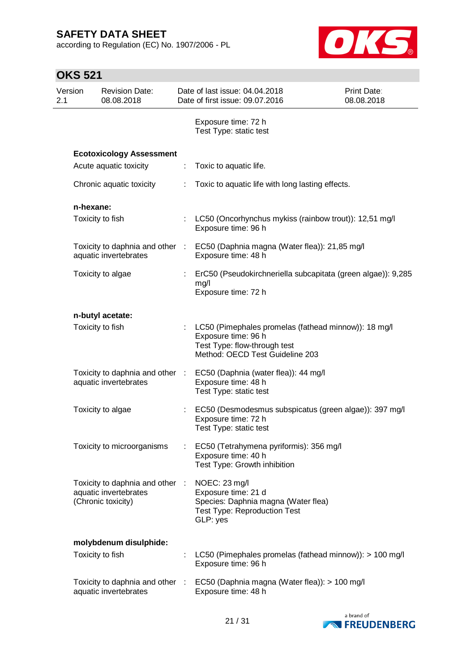according to Regulation (EC) No. 1907/2006 - PL



| Version<br>2.1 | <b>Revision Date:</b><br>08.08.2018                                            |                       | Date of last issue: 04.04.2018<br>Date of first issue: 09.07.2016                                                                              | Print Date:<br>08.08.2018 |
|----------------|--------------------------------------------------------------------------------|-----------------------|------------------------------------------------------------------------------------------------------------------------------------------------|---------------------------|
|                |                                                                                |                       | Exposure time: 72 h<br>Test Type: static test                                                                                                  |                           |
|                | <b>Ecotoxicology Assessment</b>                                                |                       |                                                                                                                                                |                           |
|                | Acute aquatic toxicity                                                         | ÷                     | Toxic to aquatic life.                                                                                                                         |                           |
|                | Chronic aquatic toxicity                                                       |                       | Toxic to aquatic life with long lasting effects.                                                                                               |                           |
|                | n-hexane:                                                                      |                       |                                                                                                                                                |                           |
|                | Toxicity to fish                                                               | $\mathbb{Z}^{\times}$ | LC50 (Oncorhynchus mykiss (rainbow trout)): 12,51 mg/l<br>Exposure time: 96 h                                                                  |                           |
|                | Toxicity to daphnia and other :<br>aquatic invertebrates                       |                       | EC50 (Daphnia magna (Water flea)): 21,85 mg/l<br>Exposure time: 48 h                                                                           |                           |
|                | Toxicity to algae                                                              |                       | ErC50 (Pseudokirchneriella subcapitata (green algae)): 9,285<br>mg/l<br>Exposure time: 72 h                                                    |                           |
|                | n-butyl acetate:                                                               |                       |                                                                                                                                                |                           |
|                | Toxicity to fish                                                               |                       | LC50 (Pimephales promelas (fathead minnow)): 18 mg/l<br>Exposure time: 96 h<br>Test Type: flow-through test<br>Method: OECD Test Guideline 203 |                           |
|                | Toxicity to daphnia and other :<br>aquatic invertebrates                       |                       | EC50 (Daphnia (water flea)): 44 mg/l<br>Exposure time: 48 h<br>Test Type: static test                                                          |                           |
|                | Toxicity to algae                                                              |                       | EC50 (Desmodesmus subspicatus (green algae)): 397 mg/l<br>Exposure time: 72 h<br>Test Type: static test                                        |                           |
|                | Toxicity to microorganisms                                                     |                       | EC50 (Tetrahymena pyriformis): 356 mg/l<br>Exposure time: 40 h<br>Test Type: Growth inhibition                                                 |                           |
|                | Toxicity to daphnia and other :<br>aquatic invertebrates<br>(Chronic toxicity) |                       | NOEC: 23 mg/l<br>Exposure time: 21 d<br>Species: Daphnia magna (Water flea)<br><b>Test Type: Reproduction Test</b><br>GLP: yes                 |                           |
|                | molybdenum disulphide:                                                         |                       |                                                                                                                                                |                           |
|                | Toxicity to fish                                                               |                       | LC50 (Pimephales promelas (fathead minnow)): > 100 mg/l<br>Exposure time: 96 h                                                                 |                           |
|                | Toxicity to daphnia and other<br>aquatic invertebrates                         | - 11                  | EC50 (Daphnia magna (Water flea)): > 100 mg/l<br>Exposure time: 48 h                                                                           |                           |

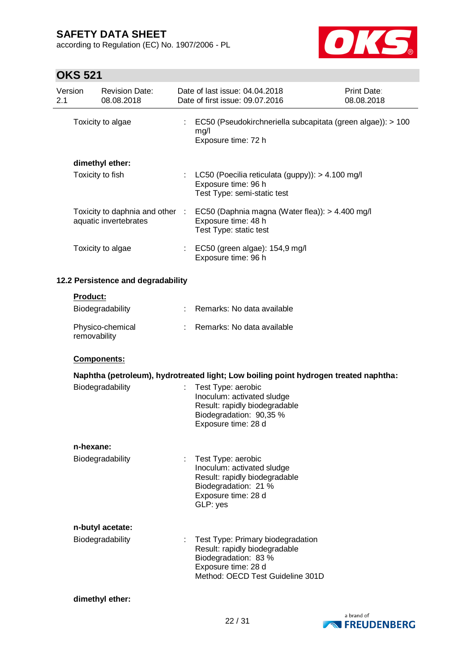according to Regulation (EC) No. 1907/2006 - PL



|                | UI JU JE I      |                                      |                                                                                                                                                       |                                  |
|----------------|-----------------|--------------------------------------|-------------------------------------------------------------------------------------------------------------------------------------------------------|----------------------------------|
| Version<br>2.1 |                 | <b>Revision Date:</b><br>08.08.2018  | Date of last issue: 04.04.2018<br>Date of first issue: 09.07.2016                                                                                     | <b>Print Date:</b><br>08.08.2018 |
|                |                 | Toxicity to algae                    | : EC50 (Pseudokirchneriella subcapitata (green algae)): > 100<br>mg/l<br>Exposure time: 72 h                                                          |                                  |
|                |                 | dimethyl ether:                      |                                                                                                                                                       |                                  |
|                |                 | Toxicity to fish                     | : LC50 (Poecilia reticulata (guppy): $> 4.100$ mg/l<br>Exposure time: 96 h<br>Test Type: semi-static test                                             |                                  |
|                |                 | aquatic invertebrates                | Toxicity to daphnia and other : EC50 (Daphnia magna (Water flea)): > 4.400 mg/l<br>Exposure time: 48 h<br>Test Type: static test                      |                                  |
|                |                 | Toxicity to algae                    | : EC50 (green algae): 154,9 mg/l<br>Exposure time: 96 h                                                                                               |                                  |
|                |                 | 12.2 Persistence and degradability   |                                                                                                                                                       |                                  |
|                | <b>Product:</b> |                                      |                                                                                                                                                       |                                  |
|                |                 | Biodegradability                     | Remarks: No data available                                                                                                                            |                                  |
|                | removability    | Physico-chemical                     | Remarks: No data available                                                                                                                            |                                  |
|                |                 | Components:                          |                                                                                                                                                       |                                  |
|                |                 |                                      | Naphtha (petroleum), hydrotreated light; Low boiling point hydrogen treated naphtha:                                                                  |                                  |
|                |                 | Biodegradability                     | Test Type: aerobic<br>Inoculum: activated sludge<br>Result: rapidly biodegradable<br>Biodegradation: 90,35 %<br>Exposure time: 28 d                   |                                  |
|                | n-hexane:       |                                      |                                                                                                                                                       |                                  |
|                |                 | Biodegradability                     | Test Type: aerobic<br>Inoculum: activated sludge<br>Result: rapidly biodegradable<br>Biodegradation: 21 %<br>Exposure time: 28 d<br>GLP: yes          |                                  |
|                |                 |                                      |                                                                                                                                                       |                                  |
|                |                 | n-butyl acetate:<br>Biodegradability | Test Type: Primary biodegradation<br>Result: rapidly biodegradable<br>Biodegradation: 83 %<br>Exposure time: 28 d<br>Method: OECD Test Guideline 301D |                                  |
|                |                 | dimethyl ether:                      |                                                                                                                                                       |                                  |

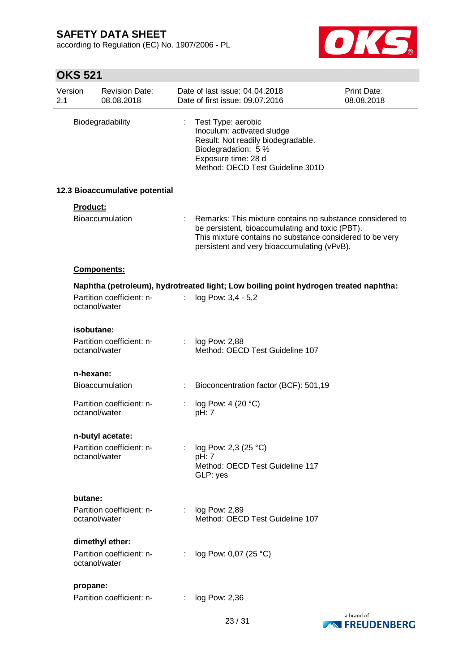according to Regulation (EC) No. 1907/2006 - PL



| Version<br>2.1 |               | <b>Revision Date:</b><br>08.08.2018 |   | Date of last issue: 04.04.2018<br>Date of first issue: 09.07.2016                                                                                                                                                         | Print Date:<br>08.08.2018 |
|----------------|---------------|-------------------------------------|---|---------------------------------------------------------------------------------------------------------------------------------------------------------------------------------------------------------------------------|---------------------------|
|                |               | Biodegradability                    | ÷ | Test Type: aerobic<br>Inoculum: activated sludge<br>Result: Not readily biodegradable.<br>Biodegradation: 5 %<br>Exposure time: 28 d<br>Method: OECD Test Guideline 301D                                                  |                           |
|                |               | 12.3 Bioaccumulative potential      |   |                                                                                                                                                                                                                           |                           |
|                | Product:      | <b>Bioaccumulation</b>              |   | : Remarks: This mixture contains no substance considered to<br>be persistent, bioaccumulating and toxic (PBT).<br>This mixture contains no substance considered to be very<br>persistent and very bioaccumulating (vPvB). |                           |
|                |               | <b>Components:</b>                  |   |                                                                                                                                                                                                                           |                           |
|                |               |                                     |   | Naphtha (petroleum), hydrotreated light; Low boiling point hydrogen treated naphtha:                                                                                                                                      |                           |
|                | octanol/water | Partition coefficient: n-           |   | log Pow: 3,4 - 5,2                                                                                                                                                                                                        |                           |
|                | isobutane:    |                                     |   |                                                                                                                                                                                                                           |                           |
|                | octanol/water | Partition coefficient: n-           |   | : $log Pow: 2,88$<br>Method: OECD Test Guideline 107                                                                                                                                                                      |                           |
|                | n-hexane:     |                                     |   |                                                                                                                                                                                                                           |                           |
|                |               | <b>Bioaccumulation</b>              | ÷ | Bioconcentration factor (BCF): 501,19                                                                                                                                                                                     |                           |
|                | octanol/water | Partition coefficient: n-           |   | log Pow: 4 (20 °C)<br>pH: 7                                                                                                                                                                                               |                           |
|                |               | n-butyl acetate:                    |   |                                                                                                                                                                                                                           |                           |
|                |               | Partition coefficient: n-           |   | log Pow: 2,3 (25 °C)                                                                                                                                                                                                      |                           |
|                | octanol/water |                                     |   | pH: 7<br>Method: OECD Test Guideline 117<br>GLP: yes                                                                                                                                                                      |                           |
|                | butane:       |                                     |   |                                                                                                                                                                                                                           |                           |
|                | octanol/water | Partition coefficient: n-           |   | : $log Pow: 2,89$<br>Method: OECD Test Guideline 107                                                                                                                                                                      |                           |
|                |               | dimethyl ether:                     |   |                                                                                                                                                                                                                           |                           |
|                | octanol/water | Partition coefficient: n-           | ÷ | log Pow: 0,07 (25 °C)                                                                                                                                                                                                     |                           |
|                | propane:      |                                     |   |                                                                                                                                                                                                                           |                           |
|                |               | Partition coefficient: n-           | ÷ | log Pow: 2,36                                                                                                                                                                                                             |                           |

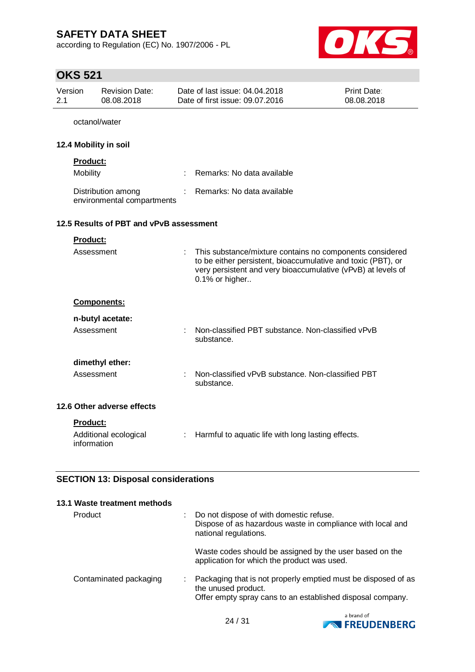according to Regulation (EC) No. 1907/2006 - PL



| <b>OKS 521</b>        |                                                  |   |                                                                                                                                                                                                            |                           |
|-----------------------|--------------------------------------------------|---|------------------------------------------------------------------------------------------------------------------------------------------------------------------------------------------------------------|---------------------------|
| Version<br>2.1        | <b>Revision Date:</b><br>08.08.2018              |   | Date of last issue: 04.04.2018<br>Date of first issue: 09.07.2016                                                                                                                                          | Print Date:<br>08.08.2018 |
|                       | octanol/water                                    |   |                                                                                                                                                                                                            |                           |
| 12.4 Mobility in soil |                                                  |   |                                                                                                                                                                                                            |                           |
| Product:<br>Mobility  |                                                  |   | Remarks: No data available                                                                                                                                                                                 |                           |
|                       | Distribution among<br>environmental compartments |   | Remarks: No data available                                                                                                                                                                                 |                           |
|                       | 12.5 Results of PBT and vPvB assessment          |   |                                                                                                                                                                                                            |                           |
| Product:              |                                                  |   |                                                                                                                                                                                                            |                           |
|                       | Assessment                                       | ÷ | This substance/mixture contains no components considered<br>to be either persistent, bioaccumulative and toxic (PBT), or<br>very persistent and very bioaccumulative (vPvB) at levels of<br>0.1% or higher |                           |
|                       | <b>Components:</b>                               |   |                                                                                                                                                                                                            |                           |
|                       | n-butyl acetate:                                 |   |                                                                                                                                                                                                            |                           |
|                       | Assessment                                       |   | Non-classified PBT substance. Non-classified vPvB<br>substance.                                                                                                                                            |                           |
|                       | dimethyl ether:                                  |   |                                                                                                                                                                                                            |                           |
|                       | Assessment                                       |   | Non-classified vPvB substance. Non-classified PBT<br>substance.                                                                                                                                            |                           |
|                       | 12.6 Other adverse effects                       |   |                                                                                                                                                                                                            |                           |
| Product:              |                                                  |   |                                                                                                                                                                                                            |                           |
| information           | Additional ecological                            | ÷ | Harmful to aquatic life with long lasting effects.                                                                                                                                                         |                           |
|                       | <b>SECTION 13: Disposal considerations</b>       |   |                                                                                                                                                                                                            |                           |

# **SECTION 13: Disposal considerations**

| 13.1 Waste treatment methods |                                                                                                                                                    |
|------------------------------|----------------------------------------------------------------------------------------------------------------------------------------------------|
| Product                      | Do not dispose of with domestic refuse.<br>Dispose of as hazardous waste in compliance with local and<br>national regulations.                     |
|                              | Waste codes should be assigned by the user based on the<br>application for which the product was used.                                             |
| Contaminated packaging       | Packaging that is not properly emptied must be disposed of as<br>the unused product.<br>Offer empty spray cans to an established disposal company. |

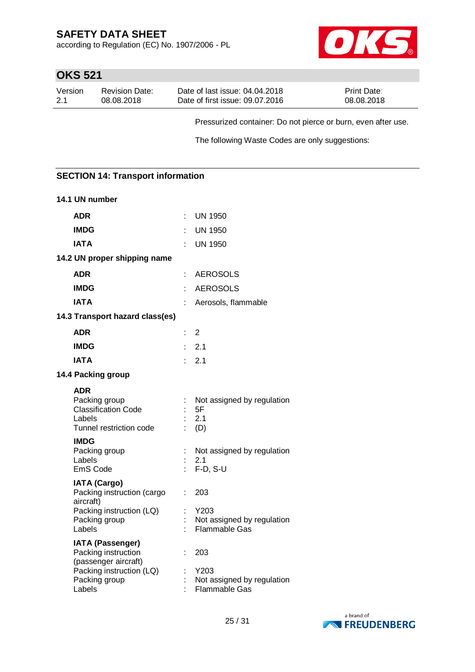according to Regulation (EC) No. 1907/2006 - PL



# **OKS 521**

| Version | <b>Revision Date:</b> | Date of last issue: 04.04.2018  | <b>Print Date:</b> |
|---------|-----------------------|---------------------------------|--------------------|
| 2.1     | 08.08.2018            | Date of first issue: 09.07.2016 | 08.08.2018         |

Pressurized container: Do not pierce or burn, even after use.

The following Waste Codes are only suggestions:

### **SECTION 14: Transport information**

| 14.1 UN number                                                                                                                |    |                                                                   |
|-------------------------------------------------------------------------------------------------------------------------------|----|-------------------------------------------------------------------|
| <b>ADR</b>                                                                                                                    | t. | <b>UN 1950</b>                                                    |
| <b>IMDG</b>                                                                                                                   |    | UN 1950                                                           |
| <b>IATA</b>                                                                                                                   | ×, | <b>UN 1950</b>                                                    |
| 14.2 UN proper shipping name                                                                                                  |    |                                                                   |
| <b>ADR</b>                                                                                                                    | ÷. | <b>AEROSOLS</b>                                                   |
| <b>IMDG</b>                                                                                                                   | t. | <b>AEROSOLS</b>                                                   |
| <b>IATA</b>                                                                                                                   |    | Aerosols, flammable                                               |
| 14.3 Transport hazard class(es)                                                                                               |    |                                                                   |
| <b>ADR</b>                                                                                                                    | t. | 2                                                                 |
| <b>IMDG</b>                                                                                                                   | ŧ. | 2.1                                                               |
| <b>IATA</b>                                                                                                                   | t. | 2.1                                                               |
| 14.4 Packing group                                                                                                            |    |                                                                   |
| <b>ADR</b><br>Packing group<br><b>Classification Code</b><br>Labels<br>Tunnel restriction code                                |    | Not assigned by regulation<br>5F<br>2.1<br>(D)                    |
| <b>IMDG</b><br>Packing group<br>Labels<br>EmS Code                                                                            | ÷. | Not assigned by regulation<br>2.1<br>F-D, S-U                     |
| <b>IATA (Cargo)</b><br>Packing instruction (cargo<br>aircraft)<br>Packing instruction (LQ)<br>Packing group<br>Labels         | ÷  | 203<br>Y203<br>Not assigned by regulation<br>Flammable Gas        |
| <b>IATA (Passenger)</b><br>Packing instruction<br>(passenger aircraft)<br>Packing instruction (LQ)<br>Packing group<br>Labels |    | 203<br>Y203<br>Not assigned by regulation<br><b>Flammable Gas</b> |

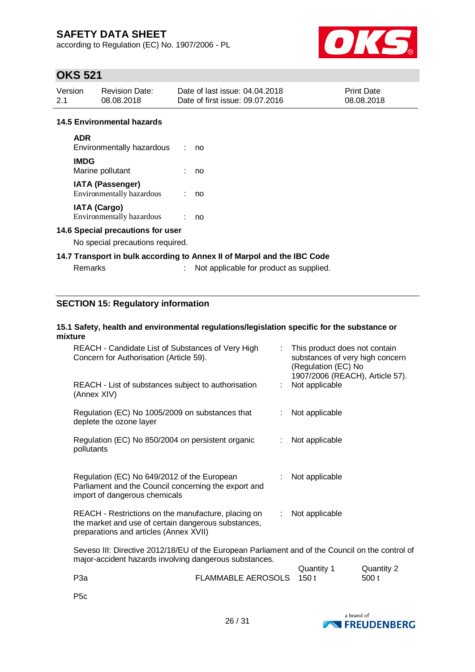according to Regulation (EC) No. 1907/2006 - PL



# **OKS 521**

| Version | <b>Revision Date:</b> | Date of last issue: 04.04.2018  | <b>Print Date:</b> |
|---------|-----------------------|---------------------------------|--------------------|
| 2.1     | 08.08.2018            | Date of first issue: 09.07.2016 | 08.08.2018         |

#### **14.5 Environmental hazards**

| <b>ADR</b><br>Environmentally hazardous              | no |
|------------------------------------------------------|----|
| <b>IMDG</b><br>Marine pollutant                      | no |
| <b>IATA (Passenger)</b><br>Environmentally hazardous | no |
| <b>IATA (Cargo)</b><br>Environmentally hazardous     |    |

#### **14.6 Special precautions for user**

No special precautions required.

#### **14.7 Transport in bulk according to Annex II of Marpol and the IBC Code**

| Remarks | Not applicable for product as supplied. |
|---------|-----------------------------------------|
|         |                                         |

### **SECTION 15: Regulatory information**

#### **15.1 Safety, health and environmental regulations/legislation specific for the substance or mixture**

| REACH - Candidate List of Substances of Very High<br>Concern for Authorisation (Article 59).                                                               | This product does not contain<br>substances of very high concern<br>(Regulation (EC) No<br>1907/2006 (REACH), Article 57). |
|------------------------------------------------------------------------------------------------------------------------------------------------------------|----------------------------------------------------------------------------------------------------------------------------|
| REACH - List of substances subject to authorisation<br>(Annex XIV)                                                                                         | Not applicable<br>÷.                                                                                                       |
| Regulation (EC) No 1005/2009 on substances that<br>deplete the ozone layer                                                                                 | Not applicable<br>÷.                                                                                                       |
| Regulation (EC) No 850/2004 on persistent organic<br>pollutants                                                                                            | Not applicable<br>t.                                                                                                       |
| Regulation (EC) No 649/2012 of the European<br>Parliament and the Council concerning the export and<br>import of dangerous chemicals                       | Not applicable                                                                                                             |
| REACH - Restrictions on the manufacture, placing on<br>the market and use of certain dangerous substances,<br>preparations and articles (Annex XVII)       | Not applicable<br>$\mathbb{Z}^{\times}$                                                                                    |
| Seveso III: Directive 2012/18/EU of the European Parliament and of the Council on the control of<br>major-accident hazards involving dangerous substances. | $\alpha$ and $\alpha$ $\alpha$ $\alpha$                                                                                    |
|                                                                                                                                                            |                                                                                                                            |

|                  |                          | Quantity 1 | Quantity 2 |
|------------------|--------------------------|------------|------------|
| P <sub>3</sub> a | FLAMMABLE AEROSOLS 150 t |            | 500 t      |
|                  |                          |            |            |

P5c

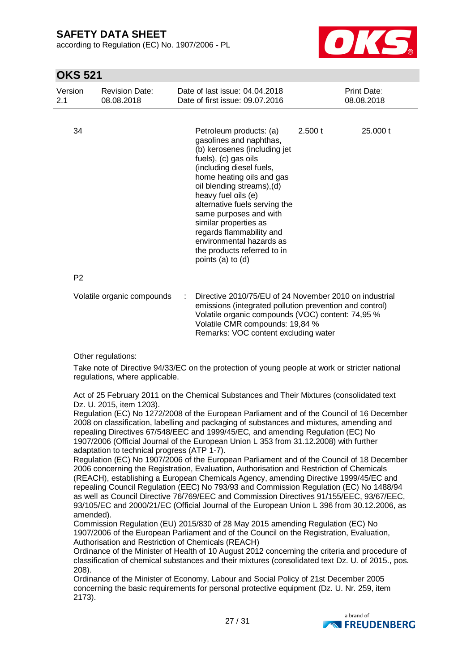according to Regulation (EC) No. 1907/2006 - PL



## **OKS 521**

| Version<br>2.1 | <b>Revision Date:</b><br>08.08.2018 | Date of last issue: 04.04.2018<br>Date of first issue: 09.07.2016                                                                                                                                                                                                                                                                                                                                                        | <b>Print Date:</b><br>08.08.2018                                                                                                                                                                                                                  |  |
|----------------|-------------------------------------|--------------------------------------------------------------------------------------------------------------------------------------------------------------------------------------------------------------------------------------------------------------------------------------------------------------------------------------------------------------------------------------------------------------------------|---------------------------------------------------------------------------------------------------------------------------------------------------------------------------------------------------------------------------------------------------|--|
|                |                                     |                                                                                                                                                                                                                                                                                                                                                                                                                          |                                                                                                                                                                                                                                                   |  |
| 34             |                                     | Petroleum products: (a)<br>gasolines and naphthas,<br>(b) kerosenes (including jet<br>fuels), (c) gas oils<br>(including diesel fuels,<br>home heating oils and gas<br>oil blending streams), (d)<br>heavy fuel oils (e)<br>alternative fuels serving the<br>same purposes and with<br>similar properties as<br>regards flammability and<br>environmental hazards as<br>the products referred to in<br>points (a) to (d) | 2.500 t<br>25,000 t                                                                                                                                                                                                                               |  |
| P <sub>2</sub> |                                     |                                                                                                                                                                                                                                                                                                                                                                                                                          |                                                                                                                                                                                                                                                   |  |
|                | Volatile organic compounds          | ÷                                                                                                                                                                                                                                                                                                                                                                                                                        | Directive 2010/75/EU of 24 November 2010 on industrial<br>emissions (integrated pollution prevention and control)<br>Volatile organic compounds (VOC) content: 74,95 %<br>Volatile CMR compounds: 19,84 %<br>Remarks: VOC content excluding water |  |

Other regulations:

Take note of Directive 94/33/EC on the protection of young people at work or stricter national regulations, where applicable.

Act of 25 February 2011 on the Chemical Substances and Their Mixtures (consolidated text Dz. U. 2015, item 1203).

Regulation (EC) No 1272/2008 of the European Parliament and of the Council of 16 December 2008 on classification, labelling and packaging of substances and mixtures, amending and repealing Directives 67/548/EEC and 1999/45/EC, and amending Regulation (EC) No 1907/2006 (Official Journal of the European Union L 353 from 31.12.2008) with further adaptation to technical progress (ATP 1-7).

Regulation (EC) No 1907/2006 of the European Parliament and of the Council of 18 December 2006 concerning the Registration, Evaluation, Authorisation and Restriction of Chemicals (REACH), establishing a European Chemicals Agency, amending Directive 1999/45/EC and repealing Council Regulation (EEC) No 793/93 and Commission Regulation (EC) No 1488/94 as well as Council Directive 76/769/EEC and Commission Directives 91/155/EEC, 93/67/EEC, 93/105/EC and 2000/21/EC (Official Journal of the European Union L 396 from 30.12.2006, as amended).

Commission Regulation (EU) 2015/830 of 28 May 2015 amending Regulation (EC) No 1907/2006 of the European Parliament and of the Council on the Registration, Evaluation, Authorisation and Restriction of Chemicals (REACH)

Ordinance of the Minister of Health of 10 August 2012 concerning the criteria and procedure of classification of chemical substances and their mixtures (consolidated text Dz. U. of 2015., pos. 208).

Ordinance of the Minister of Economy, Labour and Social Policy of 21st December 2005 concerning the basic requirements for personal protective equipment (Dz. U. Nr. 259, item 2173).

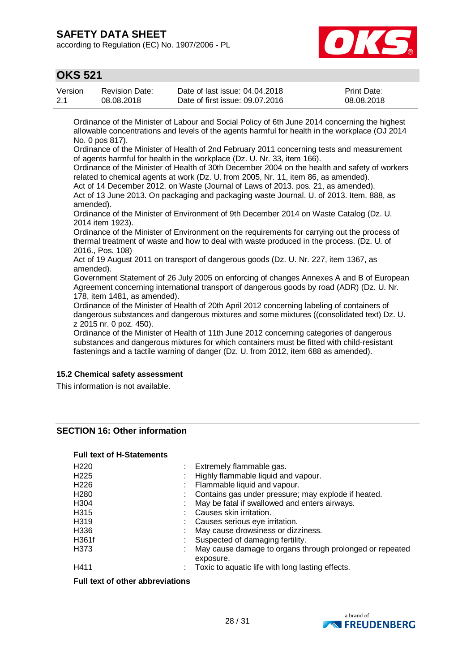according to Regulation (EC) No. 1907/2006 - PL



## **OKS 521**

| Version | Revision Date: | Date of last issue: 04.04.2018  | <b>Print Date:</b> |
|---------|----------------|---------------------------------|--------------------|
| 2.1     | 08.08.2018     | Date of first issue: 09.07.2016 | 08.08.2018         |

Ordinance of the Minister of Labour and Social Policy of 6th June 2014 concerning the highest allowable concentrations and levels of the agents harmful for health in the workplace (OJ 2014 No. 0 pos 817).

Ordinance of the Minister of Health of 2nd February 2011 concerning tests and measurement of agents harmful for health in the workplace (Dz. U. Nr. 33, item 166).

Ordinance of the Minister of Health of 30th December 2004 on the health and safety of workers related to chemical agents at work (Dz. U. from 2005, Nr. 11, item 86, as amended).

Act of 14 December 2012. on Waste (Journal of Laws of 2013. pos. 21, as amended). Act of 13 June 2013. On packaging and packaging waste Journal. U. of 2013. Item. 888, as amended).

Ordinance of the Minister of Environment of 9th December 2014 on Waste Catalog (Dz. U. 2014 item 1923).

Ordinance of the Minister of Environment on the requirements for carrying out the process of thermal treatment of waste and how to deal with waste produced in the process. (Dz. U. of 2016., Pos. 108)

Act of 19 August 2011 on transport of dangerous goods (Dz. U. Nr. 227, item 1367, as amended).

Government Statement of 26 July 2005 on enforcing of changes Annexes A and B of European Agreement concerning international transport of dangerous goods by road (ADR) (Dz. U. Nr. 178, item 1481, as amended).

Ordinance of the Minister of Health of 20th April 2012 concerning labeling of containers of dangerous substances and dangerous mixtures and some mixtures ((consolidated text) Dz. U. z 2015 nr. 0 poz. 450).

Ordinance of the Minister of Health of 11th June 2012 concerning categories of dangerous substances and dangerous mixtures for which containers must be fitted with child-resistant fastenings and a tactile warning of danger (Dz. U. from 2012, item 688 as amended).

#### **15.2 Chemical safety assessment**

This information is not available.

### **SECTION 16: Other information**

#### **Full text of H-Statements**

| H <sub>220</sub> | : Extremely flammable gas.                                            |
|------------------|-----------------------------------------------------------------------|
| H <sub>225</sub> | Highly flammable liquid and vapour.                                   |
| H <sub>226</sub> | Flammable liquid and vapour.                                          |
| H <sub>280</sub> | Contains gas under pressure; may explode if heated.                   |
| H304             | May be fatal if swallowed and enters airways.                         |
| H315             | Causes skin irritation.                                               |
| H319             | Causes serious eye irritation.                                        |
| H336             | May cause drowsiness or dizziness.                                    |
| H361f            | Suspected of damaging fertility.                                      |
| H373             | May cause damage to organs through prolonged or repeated<br>exposure. |
| H411             | Toxic to aquatic life with long lasting effects.                      |

**Full text of other abbreviations**

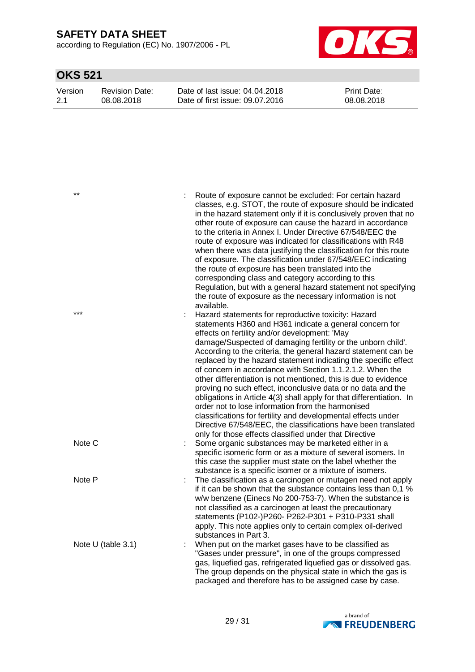according to Regulation (EC) No. 1907/2006 - PL



| Version | Revision Date: | Date of last issue: 04.04.2018  | <b>Print Date:</b> |
|---------|----------------|---------------------------------|--------------------|
| $-2.1$  | 08.08.2018     | Date of first issue: 09.07.2016 | 08.08.2018         |

| $***$              | Route of exposure cannot be excluded: For certain hazard<br>classes, e.g. STOT, the route of exposure should be indicated<br>in the hazard statement only if it is conclusively proven that no<br>other route of exposure can cause the hazard in accordance<br>to the criteria in Annex I. Under Directive 67/548/EEC the<br>route of exposure was indicated for classifications with R48<br>when there was data justifying the classification for this route<br>of exposure. The classification under 67/548/EEC indicating<br>the route of exposure has been translated into the<br>corresponding class and category according to this<br>Regulation, but with a general hazard statement not specifying<br>the route of exposure as the necessary information is not<br>available.                                                                                                         |
|--------------------|------------------------------------------------------------------------------------------------------------------------------------------------------------------------------------------------------------------------------------------------------------------------------------------------------------------------------------------------------------------------------------------------------------------------------------------------------------------------------------------------------------------------------------------------------------------------------------------------------------------------------------------------------------------------------------------------------------------------------------------------------------------------------------------------------------------------------------------------------------------------------------------------|
| $***$              | Hazard statements for reproductive toxicity: Hazard<br>statements H360 and H361 indicate a general concern for<br>effects on fertility and/or development: 'May<br>damage/Suspected of damaging fertility or the unborn child'.<br>According to the criteria, the general hazard statement can be<br>replaced by the hazard statement indicating the specific effect<br>of concern in accordance with Section 1.1.2.1.2. When the<br>other differentiation is not mentioned, this is due to evidence<br>proving no such effect, inconclusive data or no data and the<br>obligations in Article 4(3) shall apply for that differentiation. In<br>order not to lose information from the harmonised<br>classifications for fertility and developmental effects under<br>Directive 67/548/EEC, the classifications have been translated<br>only for those effects classified under that Directive |
| Note C             | Some organic substances may be marketed either in a<br>specific isomeric form or as a mixture of several isomers. In<br>this case the supplier must state on the label whether the<br>substance is a specific isomer or a mixture of isomers.                                                                                                                                                                                                                                                                                                                                                                                                                                                                                                                                                                                                                                                  |
| Note P             | The classification as a carcinogen or mutagen need not apply<br>if it can be shown that the substance contains less than 0.1 %<br>w/w benzene (Einecs No 200-753-7). When the substance is<br>not classified as a carcinogen at least the precautionary<br>statements (P102-)P260- P262-P301 + P310-P331 shall<br>apply. This note applies only to certain complex oil-derived<br>substances in Part 3.                                                                                                                                                                                                                                                                                                                                                                                                                                                                                        |
| Note U (table 3.1) | When put on the market gases have to be classified as<br>"Gases under pressure", in one of the groups compressed<br>gas, liquefied gas, refrigerated liquefied gas or dissolved gas.<br>The group depends on the physical state in which the gas is<br>packaged and therefore has to be assigned case by case.                                                                                                                                                                                                                                                                                                                                                                                                                                                                                                                                                                                 |

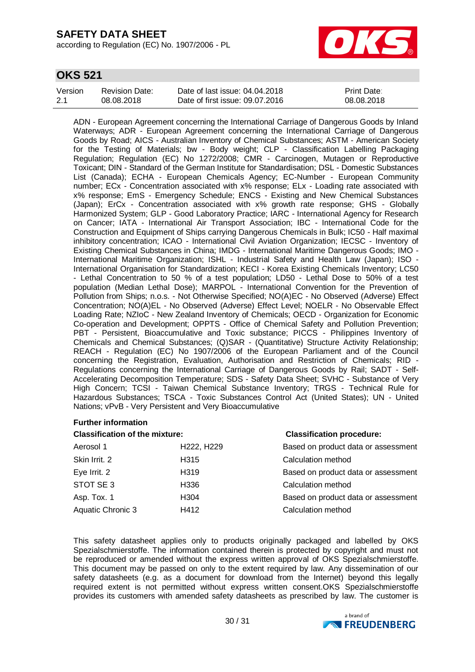according to Regulation (EC) No. 1907/2006 - PL



### **OKS 521**

| Version | Revision Date: | Date of last issue: 04.04.2018  | <b>Print Date:</b> |
|---------|----------------|---------------------------------|--------------------|
| 2.1     | 08.08.2018     | Date of first issue: 09.07.2016 | 08.08.2018         |

ADN - European Agreement concerning the International Carriage of Dangerous Goods by Inland Waterways; ADR - European Agreement concerning the International Carriage of Dangerous Goods by Road; AICS - Australian Inventory of Chemical Substances; ASTM - American Society for the Testing of Materials; bw - Body weight; CLP - Classification Labelling Packaging Regulation; Regulation (EC) No 1272/2008; CMR - Carcinogen, Mutagen or Reproductive Toxicant; DIN - Standard of the German Institute for Standardisation; DSL - Domestic Substances List (Canada); ECHA - European Chemicals Agency; EC-Number - European Community number; ECx - Concentration associated with x% response; ELx - Loading rate associated with x% response; EmS - Emergency Schedule; ENCS - Existing and New Chemical Substances (Japan); ErCx - Concentration associated with x% growth rate response; GHS - Globally Harmonized System; GLP - Good Laboratory Practice; IARC - International Agency for Research on Cancer; IATA - International Air Transport Association; IBC - International Code for the Construction and Equipment of Ships carrying Dangerous Chemicals in Bulk; IC50 - Half maximal inhibitory concentration; ICAO - International Civil Aviation Organization; IECSC - Inventory of Existing Chemical Substances in China; IMDG - International Maritime Dangerous Goods; IMO - International Maritime Organization; ISHL - Industrial Safety and Health Law (Japan); ISO - International Organisation for Standardization; KECI - Korea Existing Chemicals Inventory; LC50 - Lethal Concentration to 50 % of a test population; LD50 - Lethal Dose to 50% of a test population (Median Lethal Dose); MARPOL - International Convention for the Prevention of Pollution from Ships; n.o.s. - Not Otherwise Specified; NO(A)EC - No Observed (Adverse) Effect Concentration; NO(A)EL - No Observed (Adverse) Effect Level; NOELR - No Observable Effect Loading Rate; NZIoC - New Zealand Inventory of Chemicals; OECD - Organization for Economic Co-operation and Development; OPPTS - Office of Chemical Safety and Pollution Prevention; PBT - Persistent, Bioaccumulative and Toxic substance; PICCS - Philippines Inventory of Chemicals and Chemical Substances; (Q)SAR - (Quantitative) Structure Activity Relationship; REACH - Regulation (EC) No 1907/2006 of the European Parliament and of the Council concerning the Registration, Evaluation, Authorisation and Restriction of Chemicals; RID - Regulations concerning the International Carriage of Dangerous Goods by Rail; SADT - Self-Accelerating Decomposition Temperature; SDS - Safety Data Sheet; SVHC - Substance of Very High Concern; TCSI - Taiwan Chemical Substance Inventory; TRGS - Technical Rule for Hazardous Substances; TSCA - Toxic Substances Control Act (United States); UN - United Nations; vPvB - Very Persistent and Very Bioaccumulative

#### **Further information**

#### **Classification of the mixture: Classification procedure:**

| Aerosol 1         | H222, H229        | Based on product data or assessment |
|-------------------|-------------------|-------------------------------------|
| Skin Irrit. 2     | H315              | Calculation method                  |
| Eye Irrit. 2      | H <sub>3</sub> 19 | Based on product data or assessment |
| STOT SE 3         | H336              | Calculation method                  |
| Asp. Tox. 1       | H304              | Based on product data or assessment |
| Aquatic Chronic 3 | H412              | Calculation method                  |
|                   |                   |                                     |

This safety datasheet applies only to products originally packaged and labelled by OKS Spezialschmierstoffe. The information contained therein is protected by copyright and must not be reproduced or amended without the express written approval of OKS Spezialschmierstoffe. This document may be passed on only to the extent required by law. Any dissemination of our safety datasheets (e.g. as a document for download from the Internet) beyond this legally required extent is not permitted without express written consent.OKS Spezialschmierstoffe provides its customers with amended safety datasheets as prescribed by law. The customer is